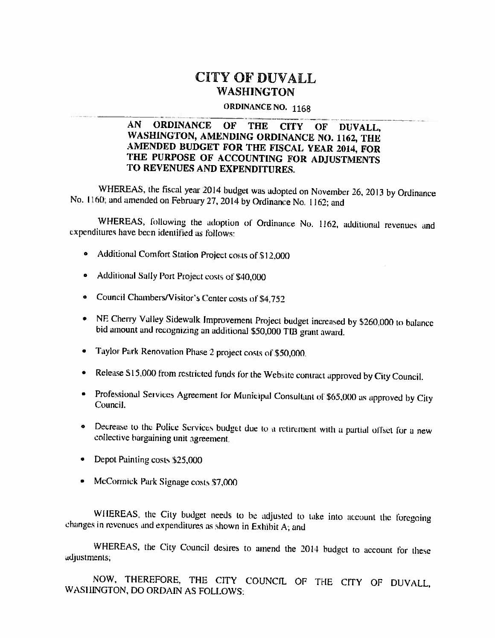#### CITY OF DUVALL **WASHINGTON**

#### ORDINANCE NO. 1168

#### $AN$ **ORDINANCE** OF. **THE CITY** OF DUVALL. WASHINGTON, AMENDING ORDINANCE NO. 1162, THE AMENDED BUDGET FOR THE FISCAL YEAR 2014, FOR THE PURPOSE OF ACCOUNTING FOR ADJUSTMENTS TO REVENUES AND EXPENDITURES.

WHEREAS, the fiscal year 2014 budget was adopted on November 26, 2013 by Ordinance No. 1160; and amended on February 27, 2014 by Ordinance No. 1162; and

WHEREAS, following the adoption of Ordinance No. 1162, additional revenues and expenditures have been identified as follows:

- Additional Comfort Station Project costs of \$12,000
- Additional Sally Port Project costs of \$40,000  $\bullet$
- Council Chambers/Visitor's Center costs of \$4,752  $\bullet$
- NE Cherry Valley Sidewalk Improvement Project budget increased by \$260,000 to balance bid amount and recognizing an additional \$50,000 TIB grant award.
- Taylor Park Renovation Phase 2 project costs of \$50,000.
- Release \$15,000 from restricted funds for the Website contract approved by City Council.  $\bullet$
- Professional Services Agreement for Municipal Consultant of \$65,000 as approved by City Council.
- Decrease to the Police Services budget due to a retirement with a partial offset for a new collective bargaining unit agreement.
- Depot Painting costs \$25,000
- McCormick Park Signage costs \$7,000

WHEREAS, the City budget needs to be adjusted to take into account the foregoing changes in revenues and expenditures as shown in Exhibit A; and

WHEREAS, the City Council desires to amend the 2014 budget to account for these adjustments;

NOW, THEREFORE, THE CITY COUNCIL OF THE CITY OF DUVALL, WASHINGTON, DO ORDAIN AS FOLLOWS: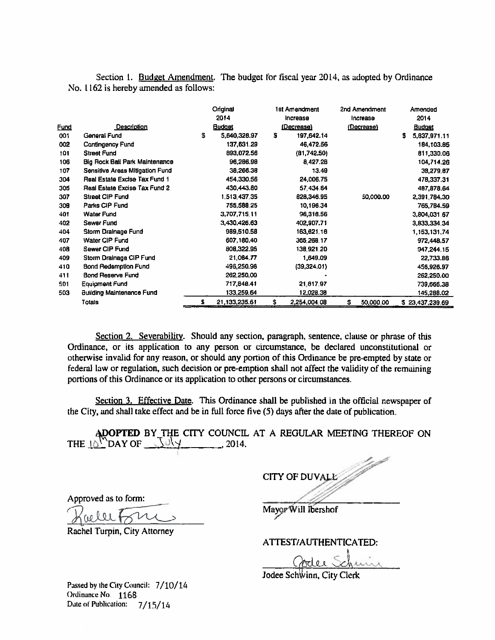|             | Section 1. Budget Amendment. The budget for fiscal year 2014, as adopted by Ordinance                                                             |                         |    |                           |                |                         |
|-------------|---------------------------------------------------------------------------------------------------------------------------------------------------|-------------------------|----|---------------------------|----------------|-------------------------|
|             | No. 1162 is hereby amended as follows:                                                                                                            |                         |    |                           |                |                         |
|             |                                                                                                                                                   | Original                |    | 1st Amendment             | 2nd Amendment  | Amended                 |
|             |                                                                                                                                                   | 2014                    |    | Increase                  | Increase       | 2014                    |
| <u>Fund</u> | Description                                                                                                                                       | <u>Budget</u>           |    | <u>(Decrease)</u>         | (Decrease)     | <u>Budget</u>           |
| 001         | General Fund                                                                                                                                      | s<br>5,640,328.97       | s  | 197,642.14                |                | \$<br>5,837,971.11      |
| 002         | Contingency Fund                                                                                                                                  | 137,631.29              |    | 46,472.56                 |                | 184,103.85              |
| 101         | <b>Street Fund</b>                                                                                                                                | 893,072.56              |    | (81,742.50)               |                | 811,330.06              |
| 106<br>107  | Big Rock Ball Park Maintenance<br><b>Sensitive Areas Mitigation Fund</b>                                                                          | 96,286.98<br>38,266.38  |    | 8.427.28<br>13.49         |                | 104,714.26<br>38,279.87 |
| 304         | Real Estate Excise Tax Fund 1                                                                                                                     | 454,330.56              |    | 24.006.75                 |                | 478,337.31              |
| 305         | Real Estate Excise Tax Fund 2                                                                                                                     | 430,443.80              |    | 57.434.84                 |                | 487,878.64              |
| 307         | <b>Street CIP Fund</b>                                                                                                                            | 1.513.437.35            |    | 828,346.95                | 50,000.00      | 2,391,784.30            |
| 308         | Parks CIP Fund                                                                                                                                    | 755,588,25              |    | 10,196.34                 |                | 765,784.59              |
| 401         | <b>Water Fund</b>                                                                                                                                 | 3.707,715.11            |    | 96,316.56                 |                | 3,804,031.67            |
| 402         | Sewar Fund                                                                                                                                        | 3.430,426.63            |    | 402,907.71                |                | 3.833,334.34            |
| 404         | Storm Drainage Fund                                                                                                                               | 989,510.58              |    | 163,621.16                |                | 1 153, 131, 74          |
| 407         | Water CIP Fund                                                                                                                                    | 607,180.40              |    | 365,268.17                |                | 972,448.57              |
| 408<br>409  | Sewer CIP Fund<br>Storm Drainage CIP Fund                                                                                                         | 808,322.95<br>21,084.77 |    | 138,921.20                |                | 947,244.15              |
| 410         | <b>Bond Redemption Fund</b>                                                                                                                       | 496,250.98              |    | 1.649.09<br>(39,324.01)   |                | 22,733.86<br>456,926.97 |
| 411         | <b>Bond Reserve Fund</b>                                                                                                                          | 262,250.00              |    |                           |                | 262,250.00              |
| 501         | <b>Equipment Fund</b>                                                                                                                             | 717,848.41              |    | 21,817.97                 |                | 739,666.38              |
| 503         | <b>Building Maintenance Fund</b>                                                                                                                  | 133,259.64              |    | 12,028.38                 |                | 145,288.02              |
|             | <b>Totals</b>                                                                                                                                     | s<br>21, 133, 235.61    | S. | 2,254,004.08              | S<br>50,000.00 | \$23,437,239.69         |
|             |                                                                                                                                                   |                         |    |                           |                |                         |
|             |                                                                                                                                                   |                         |    |                           |                |                         |
|             | Section 2. Severability. Should any section, paragraph, sentence, clause or phrase of this                                                        |                         |    |                           |                |                         |
|             |                                                                                                                                                   |                         |    |                           |                |                         |
|             | Ordinance, or its application to any person or circumstance, be declared unconstitutional or                                                      |                         |    |                           |                |                         |
|             | otherwise invalid for any reason, or should any portion of this Ordinance be pre-empted by state or                                               |                         |    |                           |                |                         |
|             | federal law or regulation, such decision or pre-emption shall not affect the validity of the remaining                                            |                         |    |                           |                |                         |
|             | portions of this Ordinance or its application to other persons or circumstances.                                                                  |                         |    |                           |                |                         |
|             |                                                                                                                                                   |                         |    |                           |                |                         |
|             | Section 3. Effective Date. This Ordinance shall be published in the official newspaper of                                                         |                         |    |                           |                |                         |
|             | the City, and shall take effect and be in full force five (5) days after the date of publication.                                                 |                         |    |                           |                |                         |
|             |                                                                                                                                                   |                         |    |                           |                |                         |
|             |                                                                                                                                                   |                         |    |                           |                |                         |
|             | <b>ADOPTED</b> BY THE CITY COUNCIL AT A REGULAR MEETING THEREOF ON THE $10^{\prime\prime}$ DAY OF $\frac{10^{\prime\prime}\sqrt{}}{2014}$ , 2014. |                         |    |                           |                |                         |
|             |                                                                                                                                                   |                         |    |                           |                |                         |
|             |                                                                                                                                                   |                         |    |                           |                |                         |
|             |                                                                                                                                                   |                         |    |                           |                |                         |
|             |                                                                                                                                                   |                         |    | <b>CITY OF DUVALE</b>     |                |                         |
|             |                                                                                                                                                   |                         |    |                           |                |                         |
|             | Approved as to form:                                                                                                                              |                         |    |                           |                |                         |
|             |                                                                                                                                                   |                         |    | Mayor Will Ibershof       |                |                         |
|             |                                                                                                                                                   |                         |    |                           |                |                         |
|             | Rachel Turpin, City Attorney                                                                                                                      |                         |    |                           |                |                         |
|             |                                                                                                                                                   |                         |    | ATTEST/AUTHENTICATED:     |                |                         |
|             |                                                                                                                                                   |                         |    |                           |                |                         |
|             |                                                                                                                                                   |                         |    |                           | Soder Schum    |                         |
|             |                                                                                                                                                   |                         |    |                           |                |                         |
|             |                                                                                                                                                   |                         |    | Jodee Schwinn, City Clerk |                |                         |

CITY OF DUVALL A

 $\bigcap$  $\overline{f}$  $\frac{1}{2}$ 

Passed by the City Council: 7/10/14 Ordinance No. 1168 Date of Publication: 7/15/14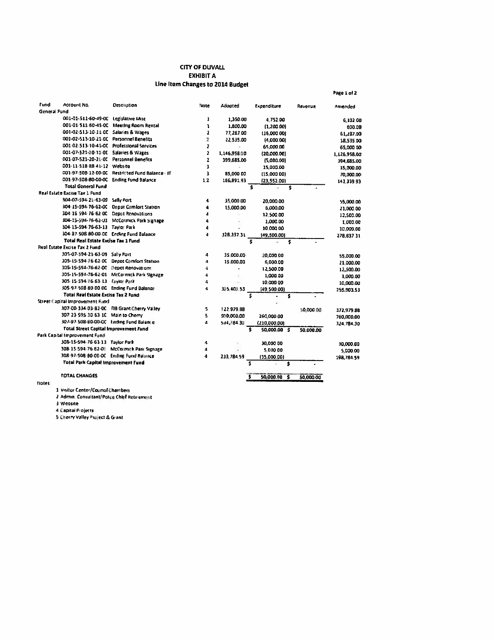#### **CITY OF DUVALL EXHIBIT A** Line Item Changes to 2014 Budget

Page 1 of 2

| Fund         | Account No.                                  | <b>Description</b>                               | Note                    | Adopted        |    | Expenditure  |    | Revenue   | Amended      |
|--------------|----------------------------------------------|--------------------------------------------------|-------------------------|----------------|----|--------------|----|-----------|--------------|
| General Fund |                                              |                                                  |                         |                |    |              |    |           |              |
|              | 001-01-511-60-49-00                          | Legislative Misc                                 | 1                       | 1,350.00       |    | 4.752.00     |    |           | 6.102.00     |
|              | 001-01-511-60-45-00                          | <b>Meeting Room Rental</b>                       | ı                       | 1,800.00       |    | (1.200.00)   |    |           | 600.00       |
|              | 001-02-513-10-11-00                          | Salaries & Wages                                 | 2                       | 77,287.00      |    | (16.000.00)  |    |           | 61.287.00    |
|              | 001-02-513-10-21-00 Personnel Benefits       |                                                  | z                       | 22.535.00      |    | (4,000.00)   |    |           | 18.535.00    |
|              |                                              | 001-02-513-10-41-0C Professional Services        | $\overline{\mathbf{z}}$ | $\sim$         |    | 65.000.00    |    |           | 65,000.00    |
|              | 001-07-521-20-11-00 Salaries & Wages         |                                                  | 2                       | 1,146,958.00   |    | (20,000,00)  |    |           | 1.126.958.00 |
|              | 001-07-521-20-21-00 Personnel Benefits       |                                                  | $\overline{\mathbf{z}}$ | 399.685.00     |    | (5,000.00)   |    |           | 394.685.00   |
|              | 001-11-518-88-41-12 Website                  |                                                  | 3                       | ÷.             |    | 15,000.00    |    |           | 15,000.00    |
|              |                                              | 001-97-508-12-00-00 Restricted Fund Balance - IT | 3                       | 85,000.00      |    | (15.000.00)  |    |           | 70,000.00    |
|              |                                              | 001-97-508-80-00-0C Ending Fund Balance          | 12                      | 166.891.93     |    | (23,552.00)  |    |           | 143.339.93   |
|              | <b>Total General Fund</b>                    |                                                  |                         |                | Ś  |              | \$ |           |              |
|              | Real Estate Excise Tax 1 Fund                |                                                  |                         |                |    |              |    |           |              |
|              | 304-07-594-21-63-05 Sally Port               |                                                  | 4                       | 35,000.00      |    | 20,000.00    |    |           | 55.000.00    |
|              |                                              | 304-15-594-76-62-00 Depot Comfort Station        | 4                       | 15.000.00      |    | 5.000.00     |    |           | 21,000.00    |
|              | 304-15-594-76-62-0C Deput Renovations        |                                                  | 4                       |                |    | 12.500.00    |    |           | 12,500.00    |
|              |                                              | 304-15-594-76-62-01 McCormick Park Signage       | 4                       |                |    | 1,000.00     |    |           | 1.000.00     |
|              | 304-15-594-76-63-13 Taylor Park              |                                                  | 4                       |                |    | 10.000.00    |    |           | 10.000.00    |
|              |                                              | 304-97-508-80-00-DC Ending Fund Balance          | 4                       | 328.33731      |    | (49,500.00)  |    |           | 278.83731    |
|              | <b>Total Real Estate Excise Fax 1 Fund</b>   |                                                  |                         |                | \$ |              | \$ |           |              |
|              | Real Estate Excise Tax 2 Fund                |                                                  |                         |                |    |              |    |           |              |
|              | 305-07-594-21-63-09 Sally Port               |                                                  | 4                       | 35.000.00      |    | 20,000.00    |    |           | 55,000.00    |
|              |                                              | 305-15-594-76-62-0C Depot Comfort Station        | $\pmb{\Lambda}$         | 15.000.00      |    | 6.000.00     |    |           | 21.000.00    |
|              | 305-15-594-76-62-00 Depct Renovations        |                                                  | 4                       | $\blacksquare$ |    | 12,500.00    |    |           | 12,500.00    |
|              |                                              | 305-15-594-76-62-01 McCormick Park Signage       | 4                       |                |    | 1,000.00     |    |           | 1.000.00     |
|              | 305-15-594-76-63-13 Taylor Park              |                                                  | 4                       |                |    | 10.000.00    |    |           | 10,000.00    |
|              | 305-97-508-80-00-00 Ending Fund Balance      |                                                  | 4                       | 305.403.53     |    | (49.500.00)  |    |           | 255.903.53   |
|              | Total Real Estate Excise Tax 2 Fund          |                                                  |                         |                | \$ |              | Ś  |           |              |
|              | Street Capital Improvement Fund              |                                                  |                         |                |    |              |    |           |              |
|              |                                              | 307-00-334-03-82-00 FIB Grant Cherry Valley      | s                       | 122 979 88     |    |              |    | 50,000.00 | 372.979.88   |
|              | 307-23-595-30-63-1C Main to Cherry           |                                                  | 5                       | 500,000.00     |    | 260,000.00   |    |           | 760,000.00   |
|              | 307-97-508-80-00-00 Ending Fund Balante      |                                                  | 4                       | 534,784.30     |    | (210,000.00) |    |           | 324.784.30   |
|              | <b>Total Street Capital Improvement Fund</b> |                                                  |                         |                | ŝ  | 50.000.00 \$ |    | 50.000.00 |              |
|              | Park Capital Improvement Fund                |                                                  |                         |                |    |              |    |           |              |
|              | 308-15-594-76-63-13 Taylor Park              |                                                  | 4                       |                |    | 30.000 00    |    |           | 30,000.00    |
|              |                                              | 308-15-594-76-62-01 McCormick Park Signage       | 4                       |                |    | 5.000.00     |    |           | 5,000.00     |
|              | 308-97-508-80-00-0C Ending Fund Balance      |                                                  | 4                       | 233.784.59     |    | (35.000.00)  |    |           | 198,784.59   |
|              | <b>Total Park Capital Improvement Fund</b>   |                                                  |                         |                | ś  |              | \$ |           |              |
|              |                                              |                                                  |                         |                |    |              |    |           |              |
|              | <b>TOTAL CHANGES</b>                         |                                                  |                         |                | Ŝ  | 50.000.00    | ŝ  | 50.000.00 |              |

Notes:

1 Visitor Center/Council Chambers<br>2 Admin: Consultant/Police Chief Retirement

3 Website<br>4 Capital Projects<br>5 Cherry Valley Project & Grant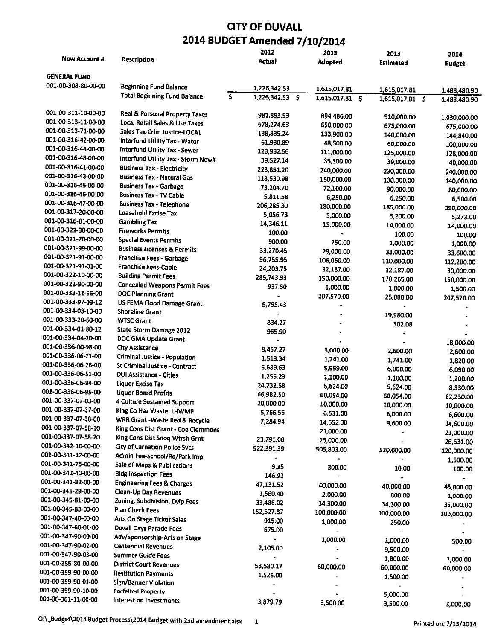|                     |                                                                 |                         | 2012            | 2013                     | 2013             | 2014          |
|---------------------|-----------------------------------------------------------------|-------------------------|-----------------|--------------------------|------------------|---------------|
| New Account #       | <b>Description</b>                                              |                         | Actual          | Adopted                  | <b>Estimated</b> | <b>Budget</b> |
|                     |                                                                 |                         |                 |                          |                  |               |
| <b>GENERAL FUND</b> |                                                                 |                         |                 |                          |                  |               |
| 001-00-308-80-00-00 | <b>Beginning Fund Balance</b>                                   |                         | 1,226,342.53    | 1,615,017.81             | 1,615,017.81     | 1,488,480.90  |
|                     | <b>Total Beginning Fund Balance</b>                             | $\overline{\mathsf{s}}$ | 1,226,342.53 \$ | $1,615,017.81$ \$        | 1,615,017.81 \$  | 1,488,480.90  |
|                     |                                                                 |                         |                 |                          |                  |               |
| 001-00-311-10-00-00 | Real & Personal Property Taxes                                  |                         | 981,893.93      | 894,486.00               | 910,000.00       | 1,030,000.00  |
| 001-00-313-11-00-00 | Local Retail Sales & Use Taxes                                  |                         | 678,274.63      | 650,000.00               | 675,000.00       | 675,000.00    |
| 001-00-313-71-00-00 | Sales Tax-Crim Justice-LOCAL                                    |                         | 138,835.24      | 133,900.00               | 140,000.00       | 144,840.00    |
| 001-00-316-42-00-00 | Interfund Utility Tax - Water                                   |                         | 61,930.89       | 48,500.00                | 60,000.00        | 100,000.00    |
| 001-00-316-44-00-00 | Interfund Utility Tax - Sewer                                   |                         | 123,932.56      | 111,000.00               | 125,000.00       | 128,000.00    |
| 001-00-316-48-00-00 | Interfund Utility Tax - Storm New#                              |                         | 39,527.14       | 35,500.00                | 39,000.00        | 40,000.00     |
| 001-00-316-41-00-00 | <b>Business Tax - Electricity</b>                               |                         | 223,851.20      | 240,000.00               | 230,000.00       | 240,000.00    |
| 001-00-316-43-00-00 | <b>Business Tax - Natural Gas</b>                               |                         | 118,530.98      | 150,000.00               | 130,000.00       | 140,000.00    |
| 001-00-316-45-00-00 | <b>Business Tax - Garbage</b>                                   |                         | 73,204.70       | 72,100.00                | 90,000.00        |               |
| 001-00-316-46-00-00 | <b>Business Tax - TV Cable</b>                                  |                         | 5,811.58        | 6,250.00                 | 6,250.00         | 80,000.00     |
| 001-00-316-47-00-00 | <b>Business Tax - Telephone</b>                                 |                         | 206,285.30      | 180,000.00               | 185,000.00       | 6,500.00      |
| 001-00-317-20-00-00 | Leasehold Excise Tax                                            |                         | 5,056.73        | 5,000.00                 |                  | 190,000.00    |
| 001-00-316-81-00-00 | <b>Gambling Tax</b>                                             |                         | 14,346.11       | 15,000.00                | 5,200.00         | 5,273.00      |
| 001-00-321-30-00-00 | <b>Fireworks Permits</b>                                        |                         | 100.00          |                          | 14,000.00        | 14,000.00     |
| 001-00-321-70-00-00 | <b>Special Events Permits</b>                                   |                         | 900.00          | 750.00                   | 100.00           | 100.00        |
| 001-00-321-99-00-00 | <b>Business Licenses &amp; Permits</b>                          |                         | 33,270.45       | 29,000.00                | 1,000.00         | 1,000.00      |
| 001-00-321-91-00-00 | Franchise Fees - Garbage                                        |                         | 96,755.95       | 106,050.00               | 33,000.00        | 33,600.00     |
| 001-00-321-91-01-00 | Franchise Fees-Cable                                            |                         | 24,203.75       |                          | 110,000.00       | 112,200.00    |
| 001-00-322-10-00-00 | <b>Building Permit Fees</b>                                     |                         | 285,743.93      | 32,187.00                | 32,187.00        | 33,000.00     |
| 001-00-322-90-00-00 | <b>Concealed Weapons Permit Fees</b>                            |                         | 937.50          | 150,000.00               | 170.265.00       | 150,000.00    |
| 001-00-333-11-66-00 | <b>DOC Planning Grant</b>                                       |                         |                 | 1,000.00                 | 1,800.00         | 1,500.00      |
| 001-00-333-97-03-12 | US FEMA Flood Damage Grant                                      |                         |                 | 207,570.00               | 25,000.00        | 207,570.00    |
| 001-00-334-03-10-00 | <b>Shoreline Grant</b>                                          |                         | 5,795.43        |                          |                  |               |
| 001-00-333-20-60-00 | <b>WTSC Grant</b>                                               |                         |                 |                          | 19,980.00        |               |
| 001-00-334-01-80-12 | State Storm Damage 2012                                         |                         | 834.27          |                          | 302.08           |               |
| 001-00-334-04-20-00 | DOC GMA Update Grant                                            |                         | 965.90          |                          |                  |               |
| 001-00-336-00-98-00 | <b>City Assistance</b>                                          |                         |                 |                          |                  | 18,000.00     |
| 001-00-336-06-21-00 | <b>Criminal Justice - Population</b>                            |                         | 8,457.27        | 3,000.00                 | 2,600.00         | 2,600.00      |
| 001-00-336-06-26-00 | <b>St Criminal Justice - Contract</b>                           |                         | 1,513.34        | 1,741.00                 | 1,741.00         | 1,820.00      |
| 001-00-336-06-51-00 | <b>DUI Assistance - Cities</b>                                  |                         | 5,689.63        | 5,959.00                 | 6,000.00         | 6,090.00      |
| 001-00-336-06-94-00 | <b>Liquor Excise Tax</b>                                        |                         | 1,255.23        | 1,100.00                 | 1,100.00         | 1,200.00      |
| 001-00-336-06-95-00 | <b>Liquor Board Profits</b>                                     |                         | 24,732.58       | 5,624.00                 | 5,624.00         | 8,330.00      |
| 001-00-337-07-03-00 | <b>4 Culture Sustained Support</b>                              |                         | 66,982.50       | 60,054.00                | 60,054.00        | 62,230.00     |
| 001-00-337-07-37-00 | King Co Haz Waste LHWMP                                         |                         | 20,000.00       | 10,000.00                | 10,000.00        | 10,000.00     |
| 001-00-337-07-38-00 | WRR Grant - Waste Red & Recycle                                 |                         | 5,766.56        | 6,531.00                 | 6,000.00         | 6,600.00      |
| 001-00-337-07-58-10 |                                                                 |                         | 7,284.94        | 14,652.00                | 9,600.00         | 14,600.00     |
| 001-00-337-07-58-20 | King Cons Dist Grant - Coe Clemmons                             |                         |                 | 21,000.00                |                  | 21,000.00     |
| 001-00-342-10-00-00 | King Cons Dist Snog Wtrsh Grnt<br>City of Carnation Police Svcs |                         | 23,791.00       | 25,000.00                | ÷                | 26,631.00     |
| 001-00-341-42-00-00 |                                                                 |                         | 522,391.39      | 505,803.00               | 520,000.00       | 120,000.00    |
| 001-00-341-75-00-00 | Admin Fee-School/Rd/Park Imp                                    |                         |                 |                          |                  | 1,500.00      |
| 001-00-342-40-00-00 | Sale of Maps & Publications                                     |                         | 9.15            | 300.00                   | 10.00            | 100.00        |
| 001-00-341-82-00-00 | <b>Bldg Inspection Fees</b>                                     |                         | 146.92          | $\overline{\phantom{a}}$ |                  |               |
| 001-00-345-29-00-00 | <b>Engineering Fees &amp; Charges</b>                           |                         | 47,131.52       | 40,000.00                | 40,000.00        | 45,000.00     |
| 001-00-345-81-00-00 | Clean-Up Day Revenues                                           |                         | 1,560.40        | 2,000.00                 | 800.00           | 1,000.00      |
|                     | Zoning, Subdivision, Dvlp Fees                                  |                         | 33,486.02       | 34,300.00                | 34,300.00        | 35,000.00     |
| 001-00-345-83-00-00 | Plan Check Fees                                                 |                         | 152,527.87      | 100,000.00               | 100,000.00       | 100,000.00    |
| 001-00-347-40-00-00 | Arts On Stage Ticket Sales                                      |                         | 915.00          | 1,000.00                 | 250.00           |               |
| 001-00-347-60-01-00 | <b>Duvall Days Parade Fees</b>                                  |                         | 675.00          |                          |                  |               |
| 001-00-347-90-00-00 | Adv/Sponsorship-Arts on Stage                                   |                         |                 | 1,000.00                 | 1,000.00         | 500.00        |
| 001-00-347-90-02-00 | <b>Centennial Revenues</b>                                      |                         | 2,105.00        |                          | 9,500.00         |               |
| 001-00-347-90-03-00 | <b>Summer Guide Fees</b>                                        |                         |                 |                          | 1,800.00         | 2,000.00      |
| 001-00-355-80-00-00 | <b>District Court Revenues</b>                                  |                         | 53,580.17       | 60,000.00                | 60,000.00        | 60,000.00     |
| 001-00-359-90-00-00 | <b>Restitution Payments</b>                                     |                         | 1,525.00        |                          | 1,500.00         |               |
| 001-00-359-90-01-00 | Sign/Banner Violation                                           |                         |                 |                          |                  |               |
| 001-00-359-90-10-00 | <b>Forfeited Property</b>                                       |                         |                 |                          | 5,000.00         |               |
| 001-00-361-11-00-00 | Interest on Investments                                         |                         | 3,879.79        | 3,500.00                 | 3,500.00         | 3.000.00      |
|                     |                                                                 |                         |                 |                          |                  |               |

O:\\_Budget\2014 Budget Process\2014 Budget with 2nd amendment.xlsx 1 Printed on: 7/15/2014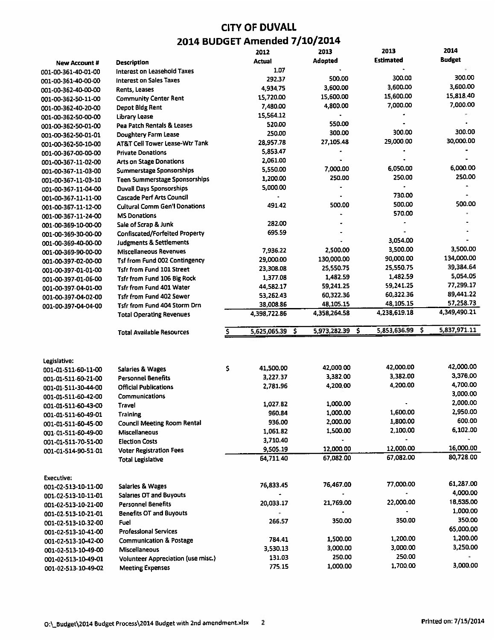|                                            |                                                               | 2012                     | 2013               | 2013               | 2014          |
|--------------------------------------------|---------------------------------------------------------------|--------------------------|--------------------|--------------------|---------------|
| <b>New Account #</b>                       | Description                                                   | <b>Actual</b>            | <b>Adopted</b>     | <b>Estimated</b>   | <b>Budget</b> |
| 001-00-361-40-01-00                        | Interest on Leasehold Taxes                                   | 1.07                     |                    |                    |               |
| 001-00-361-40-00-00                        | <b>Interest on Sales Taxes</b>                                | 292.37                   | 500.00             | 300.00             | 300.00        |
| 001-00-362-40-00-00                        | Rents, Leases                                                 | 4,934.75                 | 3,600.00           | 3,600.00           | 3,600.00      |
| 001-00-362-50-11-00                        | <b>Community Center Rent</b>                                  | 15,720.00                | 15,600.00          | 15,600.00          | 15,818.40     |
| 001-00-362-40-20-00                        | Depot Bldg Rent                                               | 7,480.00                 | 4,800.00           | 7,000.00           | 7,000.00      |
| 001-00-362-50-00-00                        | Library Lease                                                 | 15,564.12                |                    |                    |               |
| 001-00-362-50-01-00                        | Pea Patch Rentals & Leases                                    | 520.00                   | 550.00             |                    |               |
| 001-00-362-50-01-01                        | Doughtery Farm Lease                                          | 250.00                   | 300.00             | 300.00             | 300.00        |
| 001-00-362-50-10-00                        | <b>AT&amp;T Cell Tower Lease-Wtr Tank</b>                     | 28,957.78                | 27,105.48          | 29,000.00          | 30,000.00     |
| 001-00-367-00-00-00                        | <b>Private Donations</b>                                      | 5,853.47                 |                    |                    |               |
| 001-00-367-11-02-00                        | <b>Arts on Stage Donations</b>                                | 2,061.00                 |                    |                    |               |
| 001-00-367-11-03-00                        | <b>Summerstage Sponsorships</b>                               | 5,550.00                 | 7,000.00           | 6,050.00           | 6,000.00      |
| 001-00-367-11-03-10                        | Teen Summerstage Sponsorships                                 | 1,200.00                 | 250.00             | 250.00             | 250.00        |
| 001-00-367-11-04-00                        | <b>Duvall Days Sponsorships</b>                               | 5,000.00                 |                    |                    |               |
| 001-00-367-11-11-00                        | <b>Cascade Perf Arts Council</b>                              |                          |                    | 730.00             |               |
| 001-00-367-11-12-00                        | <b>Cultural Comm Gen'l Donations</b>                          | 491.42                   | 500.00             | 500.00             | 500.00        |
| 001-00-367-11-24-00                        | <b>MS Donations</b>                                           |                          |                    | 570.00             |               |
| 001-00-369-10-00-00                        | Sale of Scrap & Junk                                          | 282.00                   |                    |                    |               |
| 001-00-369-30-00-00                        | Confiscated/Forfeited Property                                | 695.59                   |                    |                    |               |
| 001-00-369-40-00-00                        | <b>Judgments &amp; Settlements</b>                            |                          |                    | 3,054.00           |               |
| 001-00-369-90-00-00                        | <b>Miscellaneous Revenues</b>                                 | 7,936.22                 | 2,500.00           | 3,500.00           | 3,500.00      |
| 001-00-397-02-00-00                        | <b>Tsf from Fund 002 Contingency</b>                          | 29,000.00                | 130,000.00         | 90,000.00          | 134,000.00    |
| 001-00-397-01-01-00                        | Tsfr from Fund 101 Street                                     | 23,308.08                | 25,550.75          | 25,550.75          | 39,384.64     |
| 001-00-397-01-06-00                        | Tsfr from Fund 106 Big Rock                                   | 1,377.08                 | 1,482.59           | 1,482.59           | 5,054.05      |
| 001-00-397-04-01-00                        | <b>Tsfr from Fund 401 Water</b>                               | 44,582.17                | 59,241.25          | 59,241.25          | 77,299.17     |
| 001-00-397-04-02-00                        | <b>Tsfr from Fund 402 Sewer</b>                               | 53,262.43                | 60,322.36          | 60,322.36          | 89,441.22     |
| 001-00-397-04-04-00                        | <b>Tsfr from Fund 404 Storm Drn</b>                           | 38,008.86                | 48,105.15          | 48,105.15          | 57,258.73     |
|                                            | <b>Total Operating Revenues</b>                               | 4,398,722.86             | 4,358,264.58       | 4,238,619.18       | 4.349,490.21  |
|                                            |                                                               |                          |                    |                    |               |
|                                            |                                                               |                          |                    |                    |               |
|                                            | <b>Total Available Resources</b>                              | S.<br>5,625,065.39<br>Ś. | 5,973,282.39 \$    | S.<br>5,853,636.99 | 5,837,971.11  |
|                                            |                                                               |                          |                    |                    |               |
|                                            |                                                               |                          |                    |                    |               |
| Legislative:                               |                                                               | \$<br>41,500.00          | 42,000.00          | 42,000.00          | 42,000.00     |
| 001-01-511-60-11-00                        | <b>Salaries &amp; Wages</b><br><b>Personnel Benefits</b>      | 3,227.37                 | 3,382.00           | 3.382.00           | 3,376.00      |
| 001-01-511-60-21-00                        | <b>Official Publications</b>                                  | 2,781.96                 | 4,200,00           | 4,200.00           | 4,700.00      |
| 001-01-511-30-44-00<br>001-01-511-60-42-00 | Communications                                                |                          |                    |                    | 3,000.00      |
|                                            | Travel                                                        | 1.027.82                 | 1,000.00           |                    | 2,000.00      |
| 001-01-511-60-43-00                        | Training                                                      | 960.84                   | 1,000.00           | 1,600.00           | 2,950.00      |
| 001-01-511-60-49-01                        | <b>Council Meeting Room Rental</b>                            | 936.00                   | 2,000.00           | 1,800.00           | 600.00        |
| 001-01-511-60-45-00                        | <b>Miscellaneous</b>                                          | 1,061.82                 | 1,500.00           | 2,100.00           | 6,102.00      |
| 001-01-511-60-49-00                        | Election Costs                                                | 3,710.40                 |                    |                    |               |
| 001-01-511-70-51-00                        |                                                               | 9,505.19                 | 12,000,00          | 12,000.00          | 16,000.00     |
| 001-01-514-90-51-01                        | <b>Voter Registration Fees</b><br><b>Total Legislative</b>    | 64,711.40                | 67,082.00          | 67,082.00          | 80,728.00     |
|                                            |                                                               |                          |                    |                    |               |
| Executive:                                 |                                                               |                          |                    |                    |               |
| 001-02-513-10-11-00                        | <b>Salaries &amp; Wages</b>                                   | 76,833.45                | 76,467.00          | 77,000.00          | 61,287.00     |
| 001-02-513-10-11-01                        | <b>Salaries OT and Buyouts</b>                                |                          |                    |                    | 4,000.00      |
| 001-02-513-10-21-00                        | <b>Personnel Benefits</b>                                     | 20,033.17                | 21,769.00          | 22,000.00          | 18,535.00     |
| 001-02-513-10-21-01                        | <b>Benefits OT and Buyouts</b>                                | ۰                        |                    |                    | 1,000.00      |
| 001-02-513-10-32-00                        | Fuel                                                          | 266.57                   | 350.00             | 350.00             | 350.00        |
| 001-02-513-10-41-00                        | <b>Professional Services</b>                                  |                          |                    |                    | 65,000.00     |
| 001-02-513-10-42-00                        | <b>Communication &amp; Postage</b>                            | 784.41                   | 1,500.00           | 1,200.00           | 1,200.00      |
| 001-02-513-10-49-00                        | Miscellaneous                                                 | 3,530.13                 | 3,000.00           | 3,000.00           | 3,250.00      |
| 001-02-513-10-49-01<br>001-02-513-10-49-02 | Volunteer Appreciation (use misc.)<br><b>Meeting Expenses</b> | 131.03<br>775.15         | 250.00<br>1,000.00 | 250.00<br>1,700.00 | ۰<br>3,000.00 |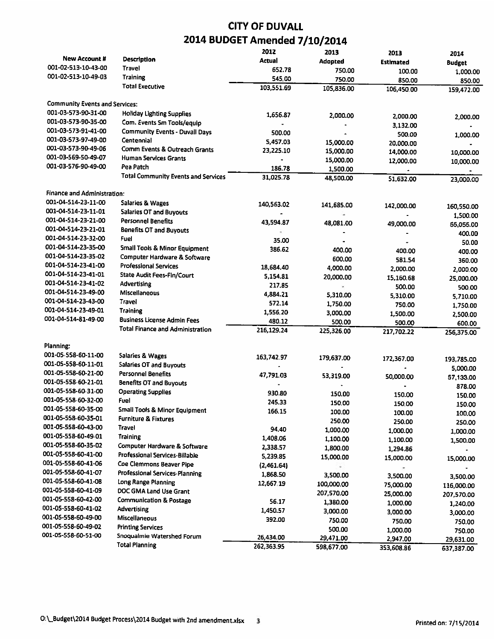|                                       |                                            | 2012       | 2013       | 2013       | 2014                    |
|---------------------------------------|--------------------------------------------|------------|------------|------------|-------------------------|
| New Account #                         | <b>Description</b>                         | Actual     | Adopted    | Estimated  | <b>Budget</b>           |
| 001-02-513-10-43-00                   | Travel                                     | 652.78     | 750.00     | 100.00     | 1,000.00                |
| 001-02-513-10-49-03                   | <b>Training</b>                            | 545,00     | 750.00     | 850.00     | 850.00                  |
|                                       | <b>Total Executive</b>                     | 103,551.69 | 105,836.00 | 106,450.00 | 159,472.00              |
| <b>Community Events and Services:</b> |                                            |            |            |            |                         |
| 001-03-573-90-31-00                   | <b>Holiday Lighting Supplies</b>           | 1,656.87   | 2,000.00   | 2,000.00   | 2,000.00                |
| 001-03-573-90-35-00                   | Com. Events Sm Tools/equip                 |            |            | 3,132.00   |                         |
| 001-03-573-91-41-00                   | <b>Community Events - Duvall Days</b>      | 500.00     |            | 500.00     | 1,000.00                |
| 001-03-573-97-49-00                   | Centennial                                 | 5,457.03   | 15,000.00  | 20,000.00  |                         |
| 001-03-573-90-49-06                   | Comm Events & Outreach Grants              | 23,225.10  | 15,000.00  | 14,000.00  | 10,000.00               |
| 001-03-569-50-49-07                   | <b>Human Services Grants</b>               |            | 15,000.00  | 12,000.00  | 10,000.00               |
| 001-03-576-90-49-00                   | Pea Patch                                  | 186.78     | 1,500.00   |            |                         |
|                                       | <b>Total Community Events and Services</b> | 31,025.78  | 48,500.00  | 51,632.00  | 23,000.00               |
| <b>Finance and Administration:</b>    |                                            |            |            |            |                         |
| 001-04-514-23-11-00                   | <b>Salaries &amp; Wages</b>                | 140,563.02 | 141,685.00 | 142,000.00 | 160,550.00              |
| 001-04-514-23-11-01                   | <b>Salaries OT and Buyouts</b>             |            |            |            | 1,500.00                |
| 001-04-514-23-21-00                   | <b>Personnel Benefits</b>                  | 43,594.87  | 48,081.00  | 49,000.00  | 55,055.00               |
| 001-04-514-23-21-01                   | <b>Benefits OT and Buyouts</b>             |            |            |            | 400.00                  |
| 001-04-514-23-32-00                   | Fuel                                       | 35.00      |            |            | 50.00                   |
| 001-04-514-23-35-00                   | Small Tools & Minor Equipment              | 386.62     | 400.00     | 400.00     | 400.00                  |
| 001-04-514-23-35-02                   | Computer Hardware & Software               |            | 600.00     | 581.54     | 360.00                  |
| 001-04-514-23-41-00                   | <b>Professional Services</b>               | 18,684.40  | 4,000.00   | 2,000.00   | 2,000.00                |
| 001-04-514-23-41-01                   | State Audit Fees-Fin/Court                 | 5.154.81   | 20,000.00  | 15,160.68  | 25,000.00               |
| 001-04-514-23-41-02                   | Advertising                                | 217.85     |            | 500.00     | 500.00                  |
| 001-04-514-23-49-00                   | Miscellaneous                              | 4,884.21   | 5,310.00   | 5,310.00   | 5,710.00                |
| 001-04-514-23-43-00                   | Travel                                     | 572.14     | 1,750.00   | 750.00     | 1,750.00                |
| 001-04-514-23-49-01                   | <b>Training</b>                            | 1,556.20   | 3,000.00   | 1,500.00   |                         |
| 001-04-514-81-49-00                   | <b>Business License Admin Fees</b>         | 480.12     | 500.00     | 500.00     | 2,500.00<br>600.00      |
|                                       | <b>Total Finance and Administration</b>    | 216,129.24 | 225,326.00 | 217,702.22 | 256,375.00              |
| Planning:                             |                                            |            |            |            |                         |
| 001-05-558-60-11-00                   | <b>Salaries &amp; Wages</b>                | 163,742.97 | 179,637.00 | 172,367.00 |                         |
| 001-05-558-60-11-01                   | <b>Salaries OT and Buyouts</b>             |            |            |            | 193,785.00              |
| 001-05-558-60-21-00                   | <b>Personnel Benefits</b>                  | 47,791.03  | 53,319.00  | 50,000.00  | 5,000.00                |
| 001-05-558-60-21-01                   | <b>Benefits OT and Buyouts</b>             |            |            |            | 57,133.00               |
| 001-05-558-60-31-00                   | <b>Operating Supplies</b>                  | 930.80     | 150.00     | 150.00     | 878.00                  |
| 001-05-558-60-32-00                   | Fuel                                       | 245.33     | 150.00     | 150.00     | 150.00<br>150.00        |
| 001-05-558-60-35-00                   | <b>Small Tools &amp; Minor Equipment</b>   | 166.15     | 100.00     | 100.00     |                         |
| 001-05-558-60-35-01                   | <b>Furniture &amp; Fixtures</b>            |            | 250.00     | 250.00     | 100.00                  |
| 001-05-558-60-43-00                   | Travel                                     | 94.40      | 1,000.00   | 1,000.00   | 250.00                  |
| 001-05-558-60-49-01                   | <b>Training</b>                            | 1,408.06   | 1,100.00   | 1,100.00   | 1,000.00                |
| 001-05-558-60-35-02                   | Computer Hardware & Software               | 2,338.57   | 1,800.00   | 1,294.86   | 1,500.00                |
| 001-05-558-60-41-00                   | Professional Services-Billable             | 5,239.85   | 15,000.00  | 15,000.00  | 15,000.00               |
| 001-05-558-60-41-06                   | Coe Clemmons Beaver Pipe                   | (2,461.64) |            |            |                         |
| 001-05-558-60-41-07                   | <b>Professional Services-Planning</b>      | 1,868.50   | 3.500.00   | 3,500.00   | 3,500.00                |
| 001-05-558-60-41-08                   | Long Range Planning                        | 12,667.19  | 100,000.00 | 75,000.00  |                         |
| 001-05-558-60-41-09                   | DOC GMA Land Use Grant                     |            | 207,570.00 | 25,000.00  | 116,000.00              |
| 001-05-558-60-42-00                   | <b>Communication &amp; Postage</b>         | 56.17      | 1,380.00   | 1,000.00   | 207,570.00              |
| 001-05-558-60-41-02                   | Advertising                                | 1,450.57   | 3,000.00   | 3,000.00   | 1,240.00                |
| 001-05-558-60-49-00                   | Miscellaneous                              | 392.00     | 750.00     | 750.00     | 3,000.00                |
| 001-05-558-60-49-02                   | <b>Printing Services</b>                   |            | 500.00     | 1,000.00   | 750.00                  |
| 001-05-558-60-51-00                   | Snoqualmie Watershed Forum                 | 26,434.00  | 29,471.00  | 2,947.00   | 750.00                  |
|                                       | <b>Total Planning</b>                      | 262,363.95 | 598,677.00 | 353,608.86 | 29,631.00<br>637,387.00 |
|                                       |                                            |            |            |            |                         |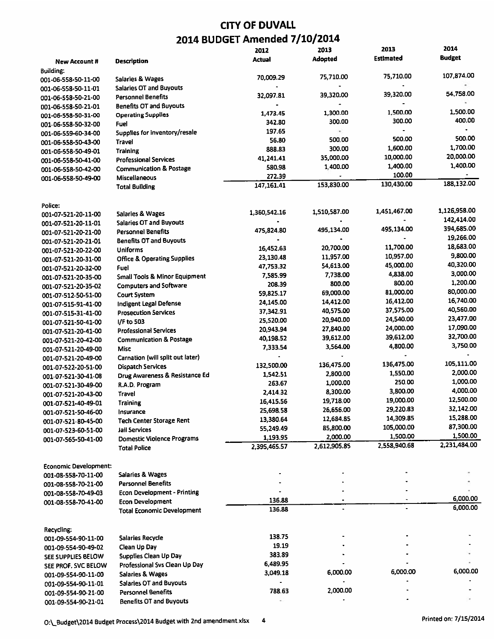|                                |                                          | 2012           | 2013           | 2013           | 2014          |
|--------------------------------|------------------------------------------|----------------|----------------|----------------|---------------|
| <b>New Account #</b>           | <b>Description</b>                       | Actual         | <b>Adopted</b> | Estimated      | <b>Budget</b> |
| Building:                      |                                          |                |                |                |               |
| 001-06-558-50-11-00            | <b>Salaries &amp; Wages</b>              | 70,009.29      | 75,710.00      | 75,710.00      | 107,874.00    |
| 001-06-558-50-11-01            | <b>Salaries OT and Buyouts</b>           |                |                |                |               |
| 001-06-558-50-21-00            | <b>Personnel Benefits</b>                | 32,097.81      | 39,320.00      | 39,320.00      | 54,758.00     |
| 001-06-558-50-21-01            | <b>Benefits OT and Buyouts</b>           |                |                |                |               |
| 001-06-558-50-31-00            | <b>Operating Supplies</b>                | 1,473.45       | 1,300.00       | 1,500.00       | 1,500.00      |
|                                | Fuel                                     | 342.80         | 300.00         | 300.00         | 400.00        |
| 001-06-558-50-32-00            | Supplies for inventory/resale            | 197.65         | ÷              |                |               |
| 001-06-559-60-34-00            |                                          | 56.80          | 500.00         | 500.00         | 500.00        |
| 001-06-558-50-43-00            | Travel                                   | 888.83         | 300.00         | 1,600.00       | 1,700.00      |
| 001-06-558-50-49-01            | <b>Training</b>                          | 41,241.41      | 35,000.00      | 10,000.00      | 20,000.00     |
| 001-06-558-50-41-00            | <b>Professional Services</b>             | 580.98         | 1,400.00       | 1,400.00       | 1,400.00      |
| 001-06-558-50-42-00            | <b>Communication &amp; Postage</b>       | 272.39         |                | 100.00         |               |
| 001-06-558-50-49-00            | Miscellaneous<br><b>Total Building</b>   | 147,161.41     | 153,830.00     | 130,430.00     | 188,132.00    |
|                                |                                          |                |                |                |               |
|                                |                                          |                |                |                |               |
| Police:<br>001-07-521-20-11-00 | Salaries & Wages                         | 1,360,542.16   | 1,510,587.00   | 1,451,467.00   | 1,126,958.00  |
|                                | <b>Salaries OT and Buyouts</b>           |                |                |                | 142,414.00    |
| 001-07-521-20-11-01            | <b>Personnel Benefits</b>                | 475,824.80     | 495.134.00     | 495,134.00     | 394,685.00    |
| 001-07-521-20-21-00            | <b>Benefits OT and Buyouts</b>           |                |                |                | 19,266.00     |
| 001-07-521-20-21-01            |                                          | 16,452.63      | 20,700.00      | 11,700.00      | 18,683.00     |
| 001-07-521-20-22-00            | <b>Uniforms</b>                          | 23,130.48      | 11,957.00      | 10,957.00      | 9,800.00      |
| 001-07-521-20-31-00            | <b>Office &amp; Operating Supplies</b>   | 47,753.32      | 54,613.00      | 45,000.00      | 40,320.00     |
| 001-07-521-20-32-00            | Fuel                                     |                | 7,738.00       | 4,838.00       | 3,000.00      |
| 001-07-521-20-35-00            | <b>Small Tools &amp; Minor Equipment</b> | 7,585.99       | 800.00         | 800.00         | 1,200.00      |
| 001-07-521-20-35-02            | <b>Computers and Software</b>            | 208.39         |                | 81,000.00      | 80,000.00     |
| 001-07-512-50-51-00            | <b>Court System</b>                      | 59,825.17      | 69,000.00      |                | 16,740.00     |
| 001-07-515-91-41-00            | Indigent Legal Defense                   | 24,145.00      | 14,412.00      | 16,412.00      | 40,560.00     |
| 001-07-515-31-41-00            | <b>Prosecution Services</b>              | 37,342.91      | 40,575.00      | 37,575.00      |               |
| 001-07-521-50-41-00            | I/F to 503                               | 25,520.00      | 20,940.00      | 24,540.00      | 23,477.00     |
| 001-07-521-20-41-00            | <b>Professional Services</b>             | 20,943.94      | 27,840.00      | 24,000.00      | 17,090.00     |
| 001-07-521-20-42-00            | <b>Communication &amp; Postage</b>       | 40,198.52      | 39,612.00      | 39,612.00      | 32,700.00     |
| 001-07-521-20-49-00            | Misc                                     | 7,333.54       | 3,564.00       | 4,800.00       | 3,750.00      |
| 001-07-521-20-49-00            | Carnation (will split out later)         | $\blacksquare$ |                | $\blacksquare$ |               |
| 001-07-522-20-51-00            | <b>Dispatch Services</b>                 | 132,500.00     | 136,475.00     | 136,475.00     | 105,111.00    |
| 001-07-521-30-41-08            | Drug Awareness & Resistance Ed           | 1,542.51       | 2,800.00       | 1,550.00       | 2,000.00      |
| 001-07-521-30-49-00            | R.A.D. Program                           | 263.67         | 1,000.00       | 250.00         | 1,000.00      |
| 001-07-521-20-43-00            | Travel                                   | 2,414.32       | 8,300.00       | 3,800.00       | 4,000.00      |
| 001-07-521-40-49-01            | Training                                 | 16,415.56      | 19,718.00      | 19,000.00      | 12,500.00     |
| 001-07-521-50-46-00            | Insurance                                | 25,698.58      | 26,656.00      | 29,220.83      | 32,142.00     |
| 001-07-521-80-45-00            | <b>Tech Center Storage Rent</b>          | 13,380.64      | 12,684.85      | 14,309.85      | 15,288.00     |
| 001-07-523-60-51-00            | Jail Services                            | 55,249.49      | 85,800.00      | 105,000.00     | 87,300.00     |
| 001-07-565-50-41-00            | <b>Domestic Violence Programs</b>        | 1,193.95       | 2,000.00       | 1,500.00       | 1,500.00      |
|                                | <b>Total Police</b>                      | 2,395,465.57   | 2,612,905.85   | 2,558,940.68   | 2,231,484.00  |
|                                |                                          |                |                |                |               |
| <b>Economic Development:</b>   |                                          |                |                |                |               |
| 001-08-558-70-11-00            | <b>Salaries &amp; Wages</b>              |                |                |                |               |
| 001-08-558-70-21-00            | <b>Personnel Benefits</b>                |                |                |                |               |
| 001-08-558-70-49-03            | <b>Econ Development - Printing</b>       |                |                |                |               |
| 001-08-558-70-41-00            | <b>Econ Development</b>                  | 136,88         |                |                | 6,000.00      |
|                                | <b>Total Economic Development</b>        | 136.88         |                |                | 6,000.00      |
|                                |                                          |                |                |                |               |
| Recycling:                     |                                          |                |                |                |               |
| 001-09-554-90-11-00            | Salaries Recycle                         | 138.75         |                |                |               |
| 001-09-554-90-49-02            | Clean Up Day                             | 19.19          |                |                |               |
| SEE SUPPLIES BELOW             | Supplies Clean Up Day                    | 383,89         |                |                |               |
| SEE PROF. SVC BELOW            | Professional Svs Clean Up Day            | 6,489.95       |                |                |               |
| 001-09-554-90-11-00            | <b>Salaries &amp; Wages</b>              | 3,049.18       | 6,000.00       | 6,000.00       | 6,000.00      |
| 001-09-554-90-11-01            | <b>Salaries OT and Buyouts</b>           |                |                |                |               |
| 001-09-554-90-21-00            | <b>Personnel Benefits</b>                | 788.63         | 2,000.00       |                |               |
| 001-09-554-90-21-01            | <b>Benefits OT and Buyouts</b>           |                |                |                |               |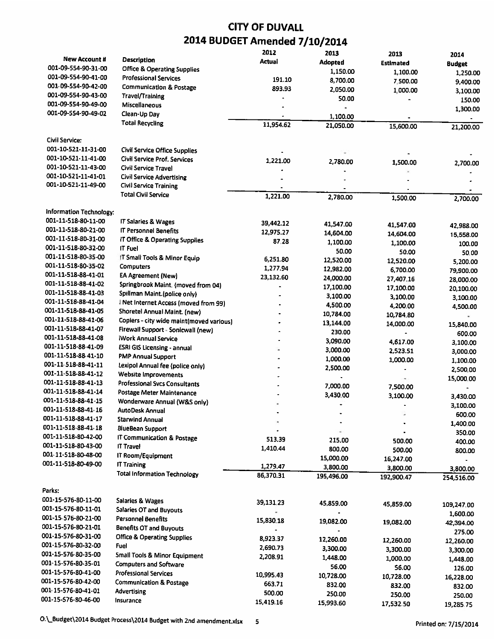|                                       |                                          | 2012      | 2013           | 2013       | 2014          |
|---------------------------------------|------------------------------------------|-----------|----------------|------------|---------------|
| <b>New Account #</b>                  | <b>Description</b>                       | Actual    | <b>Adopted</b> | Estimated  | <b>Budget</b> |
| 001-09-554-90-31-00                   | <b>Office &amp; Operating Supplies</b>   |           | 1.150.00       | 1,100.00   | 1,250.00      |
| 001-09-554-90-41-00                   | <b>Professional Services</b>             | 191.10    | 8,700.00       | 7,500.00   | 9,400.00      |
| 001-09-554-90-42-00                   | <b>Communication &amp; Postage</b>       | 893.93    | 2,050.00       | 1,000.00   | 3,100.00      |
| 001-09-554-90-43-00                   | Travel/Training                          |           | 50.00          |            | 150.00        |
| 001-09-554-90-49-00                   | Miscellaneous                            |           |                |            | 1,300.00      |
| 001-09-554-90-49-02                   | Clean-Up Day                             |           | 1,100.00       |            |               |
|                                       | <b>Total Recycling</b>                   | 11,954.62 | 21,050.00      | 15,600.00  | 21,200.00     |
|                                       |                                          |           |                |            |               |
| Civil Service:<br>001-10-521-11-31-00 |                                          |           |                |            |               |
| 001-10-521-11-41-00                   | <b>Civil Service Office Supplies</b>     |           |                |            |               |
|                                       | Civil Service Prof. Services             | 1,221.00  | 2,780.00       | 1,500.00   | 2,700.00      |
| 001-10-521-11-43-00                   | Civil Service Travel                     |           |                |            |               |
| 001-10-521-11-41-01                   | <b>Civil Service Advertising</b>         |           |                |            |               |
| 001-10-521-11-49-00                   | <b>Civil Service Training</b>            |           |                |            |               |
|                                       | <b>Total Civil Service</b>               | 1,221.00  | 2,780.00       | 1,500.00   | 2,700.00      |
| Information Technology:               |                                          |           |                |            |               |
| 001-11-518-80-11-00                   | IT Salaries & Wages                      | 39,442.12 |                |            |               |
| 001-11-518-80-21-00                   | <b>IT Personnel Benefits</b>             | 12,975.27 | 41,547.00      | 41,547.00  | 42,988.00     |
| 001-11-518-80-31-00                   | IT Office & Operating Supplies           | 87.28     | 14,604.00      | 14,604.00  | 15,558.00     |
| 001-11-518-80-32-00                   | IT Fuel                                  |           | 1,100.00       | 1,100.00   | 100.00        |
| 001-11-518-80-35-00                   | IT Small Tools & Minor Equip             |           | 50.00          | 50.00      | 50.00         |
| 001-11-518-80-35-02                   | <b>Computers</b>                         | 6,251.80  | 12,520.00      | 12,520.00  | 5,200.00      |
| 001-11-518-88-41-01                   | <b>EA Agreement (New)</b>                | 1,277.94  | 12,982.00      | 6,700.00   | 79,900.00     |
| 001-11-518-88-41-02                   | Springbrook Maint. (moved from 04)       | 23,132.60 | 24,000.00      | 27,407.16  | 28,000.00     |
| 001-11-518-88-41-03                   |                                          |           | 17,100.00      | 17,100.00  | 20,100.00     |
| 001-11-518-88-41-04                   | Spillman Maint (police only)             |           | 3,100.00       | 3,100.00   | 3,100.00      |
| 001-11-518-88-41-05                   | I Net Internet Access (moved from 99)    |           | 4,500.00       | 4,200.00   | 4,500.00      |
| 001-11-518-88-41-06                   | Shoretel Annual Maint. (new)             |           | 10,784.00      | 10,784.80  |               |
| 001-11-518-88-41-07                   | Copiers - city wide maint(moved various) |           | 13,144.00      | 14,000.00  | 15,840.00     |
| 001-11-518-88-41-08                   | Firewall Support - Sonicwall (new)       |           | 230.00         |            | 600.00        |
| 001-11-518-88-41-09                   | iWork Annual Service                     |           | 3,090.00       | 4,617.00   | 3,100.00      |
| 001-11-518-88-41-10                   | <b>ESRI GIS Licensing - annual</b>       |           | 3,000.00       | 2,523.51   | 3,000.00      |
| 001-11-518-88-41-11                   | <b>PMP Annual Support</b>                |           | 1,000.00       | 1,000.00   | 1,100.00      |
|                                       | Lexipol Annual fee (police only)         |           | 2,500.00       |            | 2,500,00      |
| 001-11-518-88-41-12                   | Website Improvements                     |           |                | ۰          | 15,000.00     |
| 001-11-518-88-41-13                   | <b>Professional Svcs Consultants</b>     |           | 7,000.00       | 7,500.00   | ۰             |
| 001-11-518-88-41-14                   | Postage Meter Maintenance                |           | 3,430.00       | 3,100.00   | 3,430.00      |
| 001-11-518-88-41-15                   | Wonderware Annual (W&S only)             |           |                |            | 3,100.00      |
| 001-11-518-88-41-16                   | AutoDesk Annual                          |           |                |            | 600.00        |
| 001-11-518-88-41-17                   | Starwind Annual                          |           |                |            | 1,400.00      |
| 001-11-518-88-41-18                   | <b>BlueBean Support</b>                  |           |                |            | 350.00        |
| 001-11-518-80-42-00                   | IT Communication & Postage               | 513.39    | 215.00         | 500.00     | 400.00        |
| 001-11-518-80-43-00                   | <b>IT Travel</b>                         | 1,410.44  | 800.00         | 500.00     | 800.00        |
| 001-11-518-80-48-00                   | IT Room/Equipment                        |           | 15,000.00      | 16,247.00  |               |
| 001-11-518-80-49-00                   | <b>IT Training</b>                       | 1,279.47  | 3,800.00       | 3,800.00   | 3,800.00      |
|                                       | <b>Total Information Technology</b>      | 86,370.31 | 195,496.00     | 192,900.47 | 254,516.00    |
| Parks:                                |                                          |           |                |            |               |
| 001-15-576-80-11-00                   |                                          |           |                |            |               |
| 001-15-576-80-11-01                   | Salaries & Wages                         | 39,131,23 | 45,859.00      | 45,859.00  | 109,247.00    |
|                                       | Salaries OT and Buyouts                  |           |                |            | 1,600.00      |
| 001-15-576-80-21-00                   | <b>Personnel Benefits</b>                | 15,830.18 | 19,082.00      | 19,082.00  | 42,394.00     |
| 001-15-576-80-21-01                   | <b>Benefits OT and Buyouts</b>           |           |                |            | 275.00        |
| 001-15-576-80-31-00                   | <b>Office &amp; Operating Supplies</b>   | 8,923.37  | 12,260.00      | 12,260.00  | 12,260.00     |
| 001-15-576-80-32-00                   | Fuel                                     | 2,690.73  | 3,300.00       | 3,300.00   | 3,300.00      |
| 001-15-576-80-35-00                   | <b>Small Tools &amp; Minor Equipment</b> | 2,208.91  | 1,448.00       | 1,000.00   | 1,448.00      |
| 001-15-576-80-35-01                   | <b>Computers and Software</b>            |           | 56.00          | 56.00      | 126.00        |
| 001-15-576-80-41-00                   | <b>Professional Services</b>             | 10,995.43 | 10,728.00      | 10,728.00  | 16,228.00     |
| 001-15-576-80-42-00                   | <b>Communication &amp; Postage</b>       | 663.71    | 832.00         | 832.00     | 832.00        |
| 001-15-576-80-41-01                   | Advertising                              | 500.00    | 250.00         | 250.00     | 250.00        |
| 001-15-576-80-46-00                   | Insurance                                | 15,419.16 | 15,993.60      | 17,532.50  | 19,285.75     |
|                                       |                                          |           |                |            |               |

O:\\_Budget\2014 Budget Process\2014 Budget with 2nd amendment.xlsx 5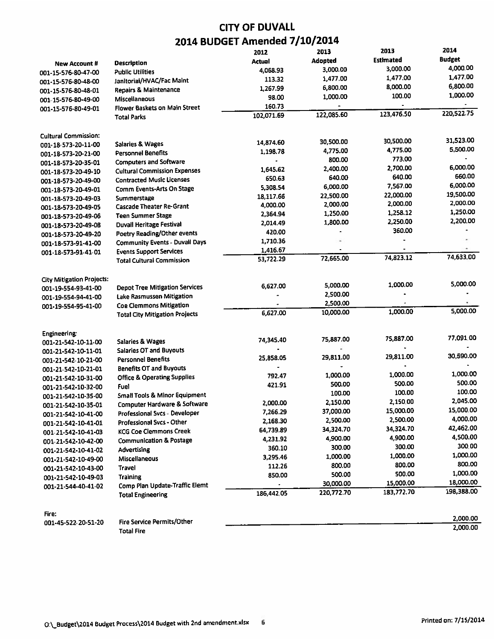|                                            |                                                                    | 2012           | 2013               | 2013             | 2014          |
|--------------------------------------------|--------------------------------------------------------------------|----------------|--------------------|------------------|---------------|
| New Account #                              | Description                                                        | Actual         | Adopted            | <b>Estimated</b> | <b>Budget</b> |
| 001-15-576-80-47-00                        | <b>Public Utilities</b>                                            | 4,068.93       | 3,000.00           | 3,000.00         | 4,000.00      |
| 001-15-576-80-48-00                        | Janitorial/HVAC/Fac Maint                                          | 113.32         | 1,477.00           | 1,477.00         | 1,477.00      |
| 001-15-576-80-48-01                        | Repairs & Maintenance                                              | 1,267.99       | 6,800.00           | 8,000.00         | 6,800.00      |
| 001-15-576-80-49-00                        | Miscellaneous                                                      | 98.00          | 1,000.00           | 100.00           | 1,000.00      |
| 001-15-576-80-49-01                        | <b>Flower Baskets on Main Street</b>                               | 160.73         |                    |                  |               |
|                                            | <b>Total Parks</b>                                                 | 102,071.69     | 122,085.60         | 123,476.50       | 220,522,75    |
| <b>Cultural Commission:</b>                |                                                                    |                |                    |                  |               |
| 001-18-573-20-11-00                        | <b>Salaries &amp; Wages</b>                                        | 14,874.60      | 30,500.00          | 30,500.00        | 31,523.00     |
| 001-18-573-20-21-00                        | <b>Personnel Benefits</b>                                          | 1,198.78       | 4,775.00           | 4,775.00         | 5,500.00      |
| 001-18-573-20-35-01                        | <b>Computers and Software</b>                                      |                | 800.00             | 773.00           |               |
|                                            | <b>Cultural Commission Expenses</b>                                | 1,645.62       | 2,400.00           | 2,700.00         | 6,000.00      |
| 001-18-573-20-49-10<br>001-18-573-20-49-00 | <b>Contracted Music Licenses</b>                                   | 650.63         | 640.00             | 640.00           | 660.00        |
| 001-18-573-20-49-01                        | Comm Events-Arts On Stage                                          | 5,308.54       | 6,000.00           | 7,567.00         | 6,000.00      |
| 001-18-573-20-49-03                        | Summerstage                                                        | 18,117.66      | 22,500.00          | 22,000.00        | 19,500.00     |
|                                            | <b>Cascade Theater Re-Grant</b>                                    | 4,000.00       | 2,000.00           | 2,000.00         | 2,000.00      |
| 001-18-573-20-49-05                        | <b>Teen Summer Stage</b>                                           | 2,364.94       | 1,250.00           | 1,258.12         | 1,250.00      |
| 001-18-573-20-49-06                        | <b>Duvall Heritage Festival</b>                                    | 2,014.49       | 1,800.00           | 2,250.00         | 2,200.00      |
| 001-18-573-20-49-08                        | Poetry Reading/Other events                                        | 420.00         |                    | 360.00           |               |
| 001-18-573-20-49-20                        | <b>Community Events - Duvall Days</b>                              | 1,710.36       |                    |                  |               |
| 001-18-573-91-41-00                        |                                                                    | 1,416.67       |                    |                  |               |
| 001 18-573-91-41-01                        | <b>Events Support Services</b><br><b>Total Cultural Commission</b> | 53,722.29      | 72,665.00          | 74.823.12        | 74,633.00     |
|                                            |                                                                    |                |                    |                  |               |
| <b>City Mitigation Projects:</b>           |                                                                    | 6,627.00       | 5,000.00           | 1.000.00         | 5,000.00      |
| 001-19-554-93-41-00                        | <b>Depot Tree Mitigation Services</b>                              |                | 2,500.00           |                  |               |
| 001-19-554-94-41-00                        | Lake Rasmussen Mitigation                                          |                | 2,500.00           |                  |               |
| 001-19-554-95-41-00                        | <b>Coe Clemmons Mitigation</b>                                     | 6,627.00       | 10,000.00          | 1,000.00         | 5,000.00      |
|                                            | <b>Total City Mitigation Projects</b>                              |                |                    |                  |               |
| Engineering:                               |                                                                    |                | 75,887.00          | 75,887.00        | 77,091.00     |
| 001-21-542-10-11-00                        | Salaries & Wages                                                   | 74,345.40      | ¥                  |                  |               |
| 001-21-542-10-11-01                        | <b>Salaries OT and Buyouts</b>                                     |                |                    | 29,811.00        | 30,590.00     |
| 001-21-542-10-21-00                        | <b>Personnel Benefits</b>                                          | 25,858.05      | 29,811.00          |                  |               |
| 001-21-542-10-21-01                        | Benefits OT and Buyouts                                            |                | -                  | 1,000.00         | 1,000.00      |
| 001-21-542-10-31-00                        | <b>Office &amp; Operating Supplies</b>                             | 792.47         | 1,000.00<br>500.00 | 500.00           | 500.00        |
| 001-21-542-10-32-00                        | Fuel                                                               | 421.91         | 100.00             | 100.00           | 100.00        |
| 001-21-542-10-35-00                        | <b>Small Tools &amp; Minor Equipment</b>                           |                |                    | 2,150.00         | 2,045.00      |
| 001-21-542-10-35-01                        | <b>Computer Hardware &amp; Software</b>                            | 2,000.00       | 2,150.00           | 15,000.00        | 15,000.00     |
| 001-21-542-10-41-00                        | <b>Professional Svcs - Developer</b>                               | 7,266.29       | 37,000.00          |                  | 4,000.00      |
| 001-21-542-10-41-01                        | <b>Professional Svcs - Other</b>                                   | 2,168.30       | 2,500.00           | 2,500.00         | 42,462.00     |
| 001-21-542-10-41-03                        | <b>KCG Coe Clemmons Creek</b>                                      | 64,739.89      | 34,324.70          | 34,324.70        | 4,500.00      |
| 001-21-542-10-42-00                        | <b>Communication &amp; Postage</b>                                 | 4,231.92       | 4,900.00           | 4,900.00         | 300.00        |
| 001-21-542-10-41-02                        | Advertising                                                        | 360.10         | 300.00             | 300.00           |               |
| 001-21-542-10-49-00                        | Miscellaneous                                                      | 3,295.46       | 1,000.00           | 1,000.00         | 1,000.00      |
| 001-21-542-10-43-00                        | Travel                                                             | 112.26         | 800.00             | 800.00           | 800.00        |
| 001-21-542-10-49-03                        | <b>Training</b>                                                    | 850.00         | 500.00             | 500.00           | 1,000.00      |
| 001-21-544-40-41-02                        | Comp Plan Update-Traffic Elemt                                     | $\blacksquare$ | 30,000.00          | 15,000.00        | 18,000.00     |
|                                            | <b>Total Engineering</b>                                           | 186,442.05     | 220,772.70         | 183,772.70       | 198,388.00    |
| Fire:                                      |                                                                    |                |                    |                  |               |
| 001-45-522-20-51-20                        | <b>Fire Service Permits/Other</b>                                  |                |                    |                  | 2,000.00      |
|                                            | <b>Total Fire</b>                                                  |                |                    |                  | 2,000.00      |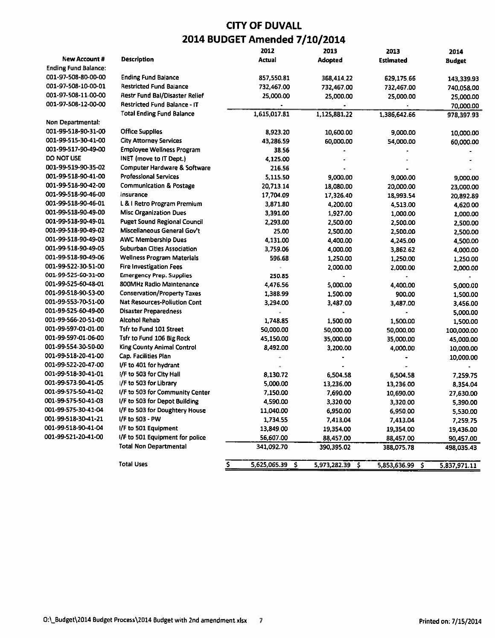|                             |                                       | 2012                  | 2013                  | 2013               | 2014               |
|-----------------------------|---------------------------------------|-----------------------|-----------------------|--------------------|--------------------|
| <b>New Account #</b>        | <b>Description</b>                    | <b>Actual</b>         | <b>Adopted</b>        | <b>Estimated</b>   | Budget             |
| <b>Ending Fund Balance:</b> |                                       |                       |                       |                    |                    |
| 001-97-508-80-00-00         | <b>Ending Fund Balance</b>            | 857,550.81            | 368,414.22            | 629,175.66         | 143,339.93         |
| 001-97-508-10-00-01         | <b>Restricted Fund Balance</b>        | 732,467.00            | 732,467.00            | 732,467.00         | 740,058.00         |
| 001-97-508-11-00-00         | <b>Restr Fund Bal/Disaster Relief</b> | 25,000.00             | 25,000.00             | 25,000.00          | 25,000.00          |
| 001-97-508-12-00-00         | <b>Restricted Fund Balance - IT</b>   |                       |                       |                    | 70,000.00          |
|                             | <b>Total Ending Fund Balance</b>      | 1,615,017.81          | 1,125,881.22          | 1,386,642.66       | 978,397.93         |
| Non Departmental:           |                                       |                       |                       |                    |                    |
| 001-99-518-90-31-00         | <b>Office Supplies</b>                | 8.923.20              | 10,600.00             | 9,000.00           | 10,000.00          |
| 001-99-515-30-41-00         | <b>City Attorney Services</b>         | 43,286.59             | 60,000.00             | 54,000.00          | 60,000.00          |
| 001-99-517-90-49-00         | <b>Employee Wellness Program</b>      | 38.56                 |                       |                    |                    |
| <b>DO NOT USE</b>           | INET (move to IT Dept.)               | 4,125.00              |                       |                    |                    |
| 001-99-519-90-35-02         | Computer Hardware & Software          | 216.56                |                       |                    |                    |
| 001-99-518-90-41-00         | <b>Professional Services</b>          | 5,115,50              | 9,000.00              | 9.000.00           | 9,000.00           |
| 001-99-518-90-42-00         | <b>Communication &amp; Postage</b>    | 20.713.14             | 18,080.00             | 20,000.00          | 23,000.00          |
| 001-99-518-90-46-00         | Insurance                             | 17,704.09             | 17,326.40             | 18,993.54          | 20,892.89          |
| 001-99-518-90-46-01         | L & I Retro Program Premium           | 3,871.80              | 4,200.00              | 4,513.00           | 4,620.00           |
| 001-99-518-90-49-00         | <b>Misc Organization Dues</b>         | 3,391.00              | 1,927.00              | 1,000.00           | 1,000.00           |
| 001-99-518-90-49-01         | <b>Puget Sound Regional Council</b>   | 2,293.00              | 2,500.00              | 2,500.00           | 2,500.00           |
| 001-99-518-90-49-02         | Miscellaneous General Gov't           | 25.00                 | 2,500.00              | 2,500.00           | 2,500.00           |
| 001-99-518-90-49-03         | <b>AWC Membership Dues</b>            | 4,131.00              | 4,400.00              | 4,245.00           | 4,500.00           |
| 001-99-518-90-49-05         | Suburban Cities Association           | 3,759.06              | 4,000.00              | 3,862.62           | 4,000.00           |
| 001-99-518-90-49-06         | <b>Wellness Program Materials</b>     | 596.68                | 1,250.00              | 1,250.00           | 1,250.00           |
| 001-99-522-30-51-00         | <b>Fire Investigation Fees</b>        |                       | 2,000.00              | 2,000.00           | 2,000.00           |
| 001-99-525-60-31-00         | <b>Emergency Prep. Supplies</b>       | 250.85                | $\tilde{\phantom{a}}$ |                    |                    |
| 001-99-525-60-48-01         | 800MHz Radio Maintenance              | 4.476.56              | 5,000.00              | 4,400.00           | 5,000.00           |
| 001-99-518-90-53-00         | <b>Conservation/Property Taxes</b>    | 1,388.99              | 1,500.00              | 900.00             | 1,500.00           |
| 001-99-553-70-51-00         | Nat Resources-Pollution Cont          | 3,294.00              | 3,487.00              | 3,487.00           | 3,456.00           |
| 001-99-525-60-49-00         | <b>Disaster Preparedness</b>          |                       |                       |                    | 5,000.00           |
| 001-99-566-20-51-00         | <b>Alcohol Rehab</b>                  | 1.748.85              | 1,500.00              | 1,500.00           | 1,500.00           |
| 001-99-597-01-01-00         | Tsfr to Fund 101 Street               | 50,000.00             | 50,000.00             | 50,000.00          | 100,000.00         |
| 001-99-597-01-06-00         | Tsfr to Fund 106 Big Rock             | 45,150.00             | 35,000.00             | 35,000.00          | 45,000.00          |
| 001-99-554-30-50-00         | King County Animal Control            | 8,492.00              | 3,200.00              | 4,000.00           | 10,000.00          |
| 001-99-518-20-41-00         | Cap. Facilities Plan                  |                       |                       |                    | 10,000.00          |
| 001-99-522-20-47-00         | I/F to 401 for hydrant                |                       |                       |                    |                    |
| 001-99-518-30-41-01         | I/F to 503 for City Hall              | 8,130.72              | 6,504.58              | 6,504.58           | 7.259.75           |
| 001-99-573-90-41-05         | I/F to 503 for Library                | 5,000.00              | 13,236.00             | 13,236.00          | 8,354.04           |
| 001-99-575-50-41-02         | I/F to 503 for Community Center       | 7,150.00              | 7,690.00              | 10,690.00          | 27,630.00          |
| 001-99-575-50-41-03         | I/F to 503 for Depot Building         | 4,590.00              | 3,320.00              | 3,320.00           | 5,390.00           |
| 001-99-575-30-41-04         | I/F to 503 for Doughtery House        | 11,040.00             | 6,950.00              | 6,950.00           | 5,530.00           |
| 001-99-518-30-41-21         | I/F to 503 - PW                       | 1,734.55              | 7,413.04              | 7,413.04           | 7,259.75           |
| 001-99-518-90-41-04         | I/F to 501 Equipment                  | 13,849.00             | 19,354.00             | 19,354.00          | 19,436.00          |
| 001-99-521-20-41-00         | I/F to 501 Equipment for police       | 56,607.00             | 88,457.00             | 88,457.00          | 90,457.00          |
|                             | <b>Total Non Departmental</b>         | 341,092.70            | 390,395.02            | 388,075.78         | 498,035.43         |
|                             |                                       |                       |                       |                    |                    |
|                             | <b>Total Uses</b>                     | \$<br>5,625,065.39 \$ | 5,973,282.39          | -S<br>5,853,636.99 | \$<br>5.837.971.11 |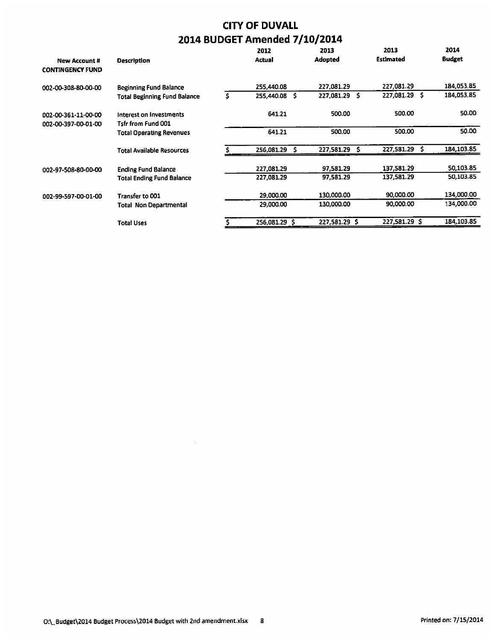| <b>New Account #</b><br><b>CONTINGENCY FUND</b> | <b>Description</b>                            |    | 2012<br>Actual  | 2013<br>Adopted | 2013<br><b>Estimated</b> | 2014<br><b>Budget</b> |
|-------------------------------------------------|-----------------------------------------------|----|-----------------|-----------------|--------------------------|-----------------------|
| 002-00-308-80-00-00                             | <b>Beginning Fund Balance</b>                 |    | 255,440.08      | 227,081.29      | 227,081.29               | 184,053,85            |
|                                                 | <b>Total Beginning Fund Balance</b>           | S. | 255,440.08<br>s | 227,081.29 \$   | 227,081.29 \$            | 184,053.85            |
| 002-00-361-11-00-00<br>002-00-397-00-01-00      | Interest on Investments<br>Tsfr from Fund 001 |    | 641.21          | 500.00          | 500.00                   | 50.00                 |
|                                                 | <b>Total Operating Revenues</b>               |    | 641.21          | 500.00          | 500.00                   | 50.00                 |
|                                                 | <b>Total Available Resources</b>              |    | 256,081.29<br>s | 227,581.29      | 227,581.29               | 184,103.85            |
| 002-97-508-80-00-00                             | <b>Ending Fund Balance</b>                    |    | 227,081.29      | 97,581.29       | 137,581.29               | 50,103.85             |
|                                                 | Total Ending Fund Balance                     |    | 227,081.29      | 97.581.29       | 137,581.29               | 50.103.85             |
| 002-99-597-00-01-00                             | Transfer to 001                               |    | 29,000.00       | 130,000.00      | 90,000.00                | 134,000.00            |
|                                                 | Total Non Departmental                        |    | 29,000.00       | 130,000.00      | 90.000.00                | 134,000.00            |
|                                                 | <b>Total Uses</b>                             |    | 256,081.29 \$   | 227,581,29 \$   | 227.581.29 \$            | 184,103.85            |

Ò.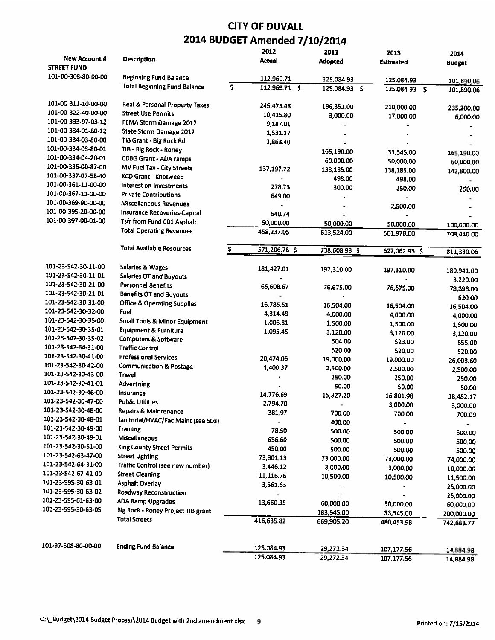#### CITY OF DUVALL 7/10/2014 2014 BUDGET Amended

|                                     |                                        |     | 2012          | 2013                          | 2013                        | 2014          |
|-------------------------------------|----------------------------------------|-----|---------------|-------------------------------|-----------------------------|---------------|
| New Account #<br><b>STREET FUND</b> | <b>Description</b>                     |     | Actual        | <b>Adopted</b>                | Estimated                   | <b>Budget</b> |
| 101-00-308-80-00-00                 | <b>Beginning Fund Balance</b>          |     | 112,969.71    |                               |                             |               |
|                                     | <b>Total Beginning Fund Balance</b>    | \$. | 112,969.71 \$ | 125,084.93<br>$125,084.93$ \$ | 125,084.93<br>125,084.93 \$ | 101,890.06    |
|                                     |                                        |     |               |                               |                             | 101,890.06    |
| 101-00-311-10-00-00                 | Real & Personal Property Taxes         |     | 245,473.48    | 196,351.00                    | 210,000.00                  | 235,200.00    |
| 101-00-322-40-00-00                 | <b>Street Use Permits</b>              |     | 10,415.80     | 3,000.00                      | 17,000.00                   | 6,000.00      |
| 101-00-333-97-03-12                 | FEMA Storm Damage 2012                 |     | 9,187.01      |                               |                             |               |
| 101-00-334-01-80-12                 | State Storm Damage 2012                |     | 1,531.17      |                               |                             |               |
| 101-00-334-03-80-00                 | TIB Grant - Big Rock Rd                |     | 2.863.40      |                               |                             |               |
| 101-00-334-03-80-01                 | TIB - Big Rock - Roney                 |     |               | 165,190.00                    | 33,545.00                   | 165,190.00    |
| 101-00-334-04-20-01                 | <b>CDBG Grant - ADA ramps</b>          |     |               | 60,000.00                     | 50,000.00                   | 60,000.00     |
| 101-00-336-00-87-00                 | MV Fuel Tax - City Streets             |     | 137,197.72    | 138,185.00                    | 138,185.00                  | 142,800.00    |
| 101-00-337-07-58-40                 | <b>KCD Grant - Knotweed</b>            |     |               | 498.00                        | 498.00                      |               |
| 101-00-361-11-00-00                 | Interest on Investments                |     | 278.73        | 300.00                        | 250.00                      | 250.00        |
| 101-00-367-11-00-00                 | <b>Private Contributions</b>           |     | 649.00        |                               |                             |               |
| 101-00-369-90-00-00                 | Miscellaneous Revenues                 |     |               |                               | 2,500.00                    |               |
| 101-00-395-20-00-00                 | Insurance Recoveries-Capital           |     | 640.74        |                               |                             |               |
| 101-00-397-00-01-00                 | Tsfr from Fund 001 Asphalt             |     | 50,000.00     | 50,000.00                     | 50,000.00                   | 100,000.00    |
|                                     | <b>Total Operating Revenues</b>        |     | 458,237.05    | 613,524.00                    | 501,978.00                  | 709,440.00    |
|                                     | Total Available Resources              | \$  | 571,206.76 \$ | 738,608.93 \$                 | 627,062.93 \$               | 811,330.06    |
|                                     |                                        |     |               |                               |                             |               |
| 101-23-542-30-11-00                 | Salaries & Wages                       |     | 181,427.01    | 197,310.00                    | 197,310.00                  | 180,941.00    |
| 101-23-542-30-11-01                 | <b>Salaries OT and Buyouts</b>         |     |               |                               |                             | 3,220.00      |
| 101-23-542-30-21-00                 | <b>Personnel Benefits</b>              |     | 65,608.67     | 76,675.00                     | 76,675.00                   | 73,398.00     |
| 101-23-542-30-21-01                 | <b>Benefits OT and Buyouts</b>         |     |               |                               |                             | 620.00        |
| 101-23-542-30-31-00                 | <b>Office &amp; Operating Supplies</b> |     | 16,785.51     | 16,504.00                     | 16,504.00                   | 16,504.00     |
| 101-23-542-30-32-00                 | <b>Fuel</b>                            |     | 4,314.49      | 4,000.00                      | 4,000.00                    | 4,000.00      |
| 101-23-542-30-35-00                 | Small Tools & Minor Equipment          |     | 1,005.81      | 1,500.00                      | 1,500.00                    | 1,500.00      |
| 101-23-542-30-35-01                 | <b>Equipment &amp; Furniture</b>       |     | 1,095.45      | 3,120.00                      | 3,120.00                    | 3,120.00      |
| 101-23-542-30-35-02                 | Computers & Software                   |     |               | 504.00                        | 523.00                      | 855.00        |
| 101-23-542-64-31-00                 | <b>Traffic Control</b>                 |     |               | 520.00                        | 520.00                      | 520.00        |
| 101-23-542-30-41-00                 | <b>Professional Services</b>           |     | 20,474.06     | 19,000.00                     | 19,000.00                   | 26,003.60     |
| 101-23-542-30-42-00                 | <b>Communication &amp; Postage</b>     |     | 1,400.37      | 2,500.00                      | 2,500.00                    | 2,500.00      |
| 101-23-542-30-43-00                 | Travel                                 |     |               | 250.00                        | 250.00                      | 250.00        |
| 101-23-542-30-41-01                 | Advertising                            |     |               | 50.00                         | 50.00                       | 50.00         |
| 101-23-542-30-46-00                 | Insurance                              |     | 14,776.69     | 15,327.20                     | 16,801.98                   | 18,482.17     |
| 101-23-542-30-47-00                 | <b>Public Utilities</b>                |     | 2,794.70      |                               | 3,000.00                    | 3,000.00      |
| 101-23-542-30-48-00                 | Repairs & Maintenance                  |     | 381,97        | 700.00                        | 700.00                      | 700.00        |
| 101-23-542-30-48-01                 | Janitorial/HVAC/Fac Maint (see 503)    |     |               | 400.00                        |                             |               |
| 101-23-542-30-49-00                 | Training                               |     | 78.50         | 500.00                        | 500.00                      | 500.00        |
| 101-23-542-30-49-01                 | Miscellaneous                          |     | 656.60        | 500.00                        | 500,00                      | 500.00        |
| 101-23-542-30-51-00                 | <b>King County Street Permits</b>      |     | 450.00        | 500.00                        | 500.00                      | 500.00        |
| 101-23-542-63-47-00                 | <b>Street Lighting</b>                 |     | 73,301.13     | 73,000.00                     | 73,000.00                   | 74,000.00     |
| 101-23-542-64-31-00                 | Traffic Control (see new number)       |     | 3,446.12      | 3,000.00                      | 3,000.00                    | 10,000.00     |
| 101-23-542-67-41-00                 | <b>Street Cleaning</b>                 |     | 11,116.76     | 10,500.00                     | 10,500.00                   | 11,500.00     |
| 101-23-595-30-63-01                 | <b>Asphalt Overlay</b>                 |     | 3,861.63      |                               |                             | 25,000.00     |
| 101-23-595-30-63-02                 | <b>Roadway Reconstruction</b>          |     |               |                               |                             | 25,000.00     |
| 101-23-595-61-63-00                 | <b>ADA Ramp Upgrades</b>               |     | 13,660.35     | 60,000.00                     | 50,000.00                   | 60,000.00     |
| 101-23-595-30-63-05                 | Big Rock - Roney Project TIB grant     |     |               | 183,545.00                    | 33,545.00                   | 200,000.00    |
|                                     | <b>Total Streets</b>                   |     | 416,635.82    | 669,905.20                    | 480,453.98                  | 742,663.77    |
|                                     |                                        |     |               |                               |                             |               |
| 101-97-508-80-00-00                 | <b>Ending Fund Balance</b>             |     | 125,084.93    | 29,272.34                     | 107,177.56                  | 14,884.98     |
|                                     |                                        |     | 125,084.93    | 29,272.34                     | 107,177.56                  | 14,884.98     |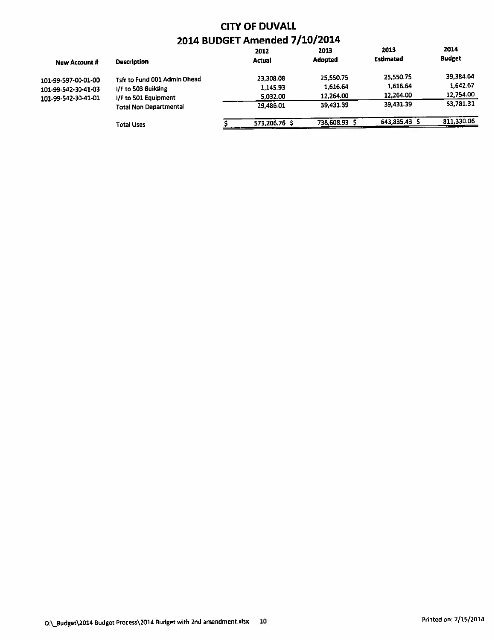| <b>New Account #</b> | <b>Description</b>                                    | 2012<br><b>Actual</b> | 2013<br><b>Adopted</b> | 2013<br><b>Estimated</b> | 2014<br><b>Budget</b> |
|----------------------|-------------------------------------------------------|-----------------------|------------------------|--------------------------|-----------------------|
| 101-99-597-00-01-00  | Tsfr to Fund 001 Admin Ohead                          | 23,308.08             | 25,550.75              | 25.550.75                | 39,384.64             |
| 101-99-542-30-41-03  | I/F to 503 Building                                   | 1,145.93              | 1,616.64               | 1,616.64                 | 1,642.67              |
| 101-99-542-30-41-01  | I/F to 501 Equipment<br><b>Total Non Departmental</b> | 5,032.00              | 12.264.00              | 12,264.00                | 12,754.00             |
|                      |                                                       | 29.486.01             | 39.431.39              | 39.431.39                | 53,781.31             |
|                      | <b>Total Uses</b>                                     | 571,206.76 \$         | 738,608.93             | 643,835.43 \$            | 811.330.06            |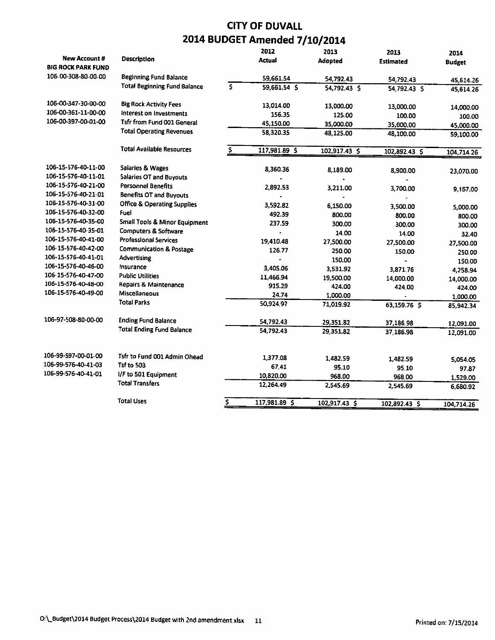|                           |                                          |    | 2012          | 2013          | 2013             | 2014          |
|---------------------------|------------------------------------------|----|---------------|---------------|------------------|---------------|
| <b>New Account #</b>      | <b>Description</b>                       |    | <b>Actual</b> | Adopted       | <b>Estimated</b> | <b>Budget</b> |
| <b>BIG ROCK PARK FUND</b> |                                          |    |               |               |                  |               |
| 106-00-308-80-00-00       | <b>Beginning Fund Balance</b>            |    | 59.661.54     | 54,792.43     | 54,792.43        | 45,614.26     |
|                           | <b>Total Beginning Fund Balance</b>      | \$ | 59.661.54 \$  | 54,792.43 \$  | 54,792.43 S      | 45,614.26     |
| 106-00-347-30-00-00       | <b>Big Rock Activity Fees</b>            |    | 13.014.00     | 13,000.00     | 13,000.00        | 14,000.00     |
| 106-00-361-11-00-00       | Interest on Investments                  |    | 156.35        | 125.00        | 100.00           | 100.00        |
| 106-00-397-00-01-00       | <b>Tsfr from Fund 001 General</b>        |    | 45,150.00     | 35,000.00     | 35,000.00        | 45,000.00     |
|                           | <b>Total Operating Revenues</b>          |    | 58.320.35     | 48,125.00     | 48,100.00        | 59,100.00     |
|                           | <b>Total Available Resources</b>         | Ŝ  | 117,981.89 \$ | 102,917.43 \$ | 102,892.43 \$    | 104,714.26    |
|                           |                                          |    |               |               |                  |               |
| 106-15-576-40-11-00       | <b>Salaries &amp; Wages</b>              |    | 8,360.36      | 8,189.00      | 8,900.00         | 23,070.00     |
| 106-15-576-40-11-01       | <b>Salaries OT and Buyouts</b>           |    |               |               |                  |               |
| 106-15-576-40-21-00       | <b>Personnel Benefits</b>                |    | 2,892.53      | 3,211.00      | 3,700.00         | 9,157.00      |
| 106-15-576-40-21-01       | <b>Benefits OT and Buyouts</b>           |    |               |               |                  |               |
| 106-15-576-40-31-00       | <b>Office &amp; Operating Supplies</b>   |    | 3.592.82      | 6,150.00      | 3.500.00         | 5,000.00      |
| 106-15-576-40-32-00       | Fuel                                     |    | 492.39        | 800.00        | 800.00           | 800.00        |
| 106-15-576-40-35-00       | <b>Small Tools &amp; Minor Equipment</b> |    | 237.59        | 300.00        | 300.00           | 300.00        |
| 106-15-576-40-35-01       | Computers & Software                     |    |               | 14.00         | 14.00            | 32.40         |
| 106-15-576-40-41-00       | <b>Professional Services</b>             |    | 19,410.48     | 27,500.00     | 27,500.00        | 27,500.00     |
| 106-15-576-40-42-00       | <b>Communication &amp; Postage</b>       |    | 126.77        | 250.00        | 150.00           | 250.00        |
| 106-15-576-40-41-01       | <b>Advertising</b>                       |    |               | 150.00        |                  | 150.00        |
| 106-15-576-40-46-00       | Insurance                                |    | 3,405.06      | 3,531.92      | 3,871.76         | 4,258.94      |
| 106-15-576-40-47-00       | <b>Public Utilities</b>                  |    | 11,466.94     | 19,500.00     | 14,000.00        | 14,000.00     |
| 106-15-576-40-48-00       | <b>Repairs &amp; Maintenance</b>         |    | 915.29        | 424.00        | 424.00           | 424.00        |
| 106-15-576-40-49-00       | <b>Miscellaneous</b>                     |    | 24.74         | 1,000.00      |                  | 1,000.00      |
|                           | <b>Total Parks</b>                       |    | 50,924.97     | 71,019.92     | 63,159.76 \$     | 85,942.34     |
| 106-97-508-80-00-00       | <b>Ending Fund Balance</b>               |    | 54,792.43     | 29,351.82     | 37,186.98        | 12,091.00     |
|                           | <b>Total Ending Fund Balance</b>         |    | 54,792.43     | 29,351.82     | 37,186.98        | 12,091.00     |
|                           |                                          |    |               |               |                  |               |
| 106-99-597-00-01-00       | Tsfr to Fund 001 Admin Ohead             |    | 1,377.08      | 1,482.59      | 1.482.59         | 5,054.05      |
| 106-99-576-40-41-03       | <b>Tsf to 503</b>                        |    | 67.41         | 95.10         | 95.10            | 97.87         |
| 106-99-576-40-41-01       | I/F to 501 Equipment                     |    | 10,820.00     | 968.00        | 968.00           | 1,529.00      |
|                           | <b>Total Transfers</b>                   |    | 12,264.49     | 2,545.69      | 2,545.69         | 6,680.92      |
|                           | <b>Total Uses</b>                        | \$ | 117,981.89 \$ | 102.917.43 \$ | 102,892.43 \$    | 104,714.26    |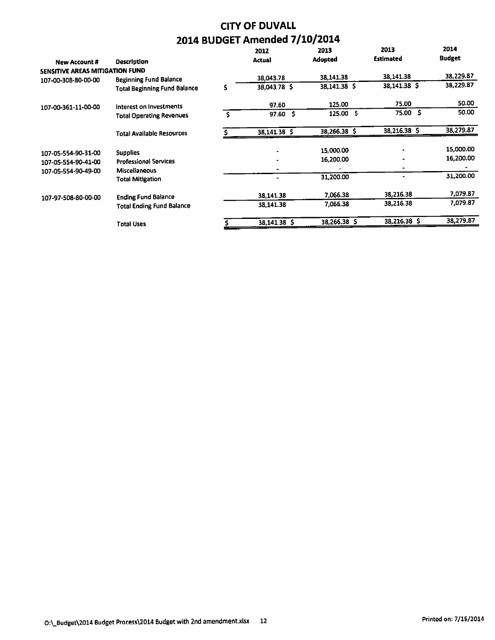| <b>New Account #</b>            | Description                         | 2012<br>Actual           | 2013<br>Adopted | 2013<br><b>Estimated</b> | 2014<br><b>Budget</b> |
|---------------------------------|-------------------------------------|--------------------------|-----------------|--------------------------|-----------------------|
| SENSITIVE AREAS MITIGATION FUND |                                     |                          |                 |                          |                       |
| 107-00-308-80-00-00             | <b>Beginning Fund Balance</b>       | 38,043.78                | 38,141.38       | 38,141.38                | 38,229.87             |
|                                 | <b>Total Beginning Fund Balance</b> | \$<br>38.043.78 \$       | 38,141.38 \$    | 38,141.38 \$             | 38,229.87             |
| 107-00-361-11-00-00             | Interest on Investments             | 97.60                    | 125.00          | 75.00                    | 50.00                 |
|                                 | <b>Total Operating Revenues</b>     | -5<br>97.60              | 125.00 \$       | 75.00 \$                 | 50.00                 |
|                                 | <b>Total Available Resources</b>    | 38,141.38 \$             | 38,266.38 \$    | 38,216.38 \$             | 38,279.87             |
| 107-05-554-90-31-00             | <b>Supplies</b>                     | $\overline{\phantom{a}}$ | 15,000.00       |                          | 15,000.00             |
| 107-05-554-90-41-00             | <b>Professional Services</b>        | ٠                        | 16,200.00       |                          | 16,200.00             |
| 107-05-554-90-49-00             | <b>Miscellaneous</b>                | $\blacksquare$           |                 |                          |                       |
|                                 | <b>Total Mitigation</b>             | ۰                        | 31,200.00       |                          | 31,200.00             |
| 107-97-508-80-00-00             | <b>Ending Fund Balance</b>          | 38,141.38                | 7.066.38        | 38,216.38                | 7,079.87              |
|                                 | <b>Total Ending Fund Balance</b>    | 38,141.38                | 7.066.38        | 38,216.38                | 7,079.87              |
|                                 | <b>Total Uses</b>                   | 38,141.38 \$             | 38,266.38 \$    | 38,216.38 \$             | 38,279.87             |
|                                 |                                     |                          |                 |                          |                       |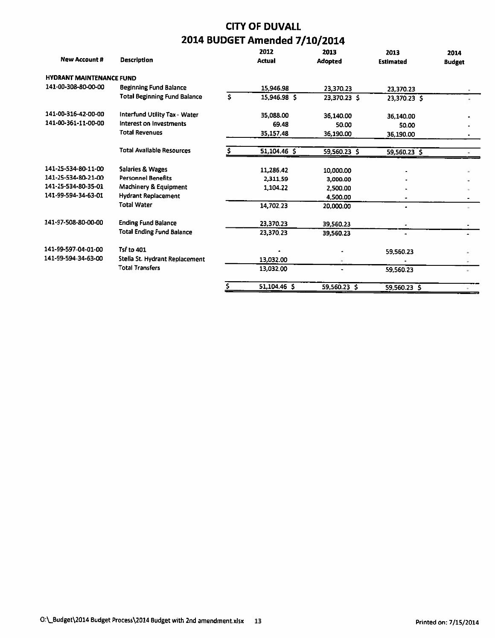| <b>New Account #</b>            | <b>Description</b>                  |     | 2012<br><b>Actual</b> | 2013<br>Adopted | 2013<br><b>Estimated</b> | 2014<br><b>Budget</b> |
|---------------------------------|-------------------------------------|-----|-----------------------|-----------------|--------------------------|-----------------------|
| <b>HYDRANT MAINTENANCE FUND</b> |                                     |     |                       |                 |                          |                       |
| 141-00-308-80-00-00             | <b>Beginning Fund Balance</b>       |     | 15,946.98             | 23,370.23       | 23.370.23                |                       |
|                                 | <b>Total Beginning Fund Balance</b> | Ŝ.  | 15,946.98 \$          | 23,370.23 \$    | 23,370.23 \$             |                       |
| 141-00-316-42-00-00             | Interfund Utility Tax - Water       |     | 35.088.00             | 36,140.00       | 36,140.00                |                       |
| 141-00-361-11-00-00             | Interest on Investments             |     | 69.48                 | 50.00           | 50.00                    |                       |
|                                 | <b>Total Revenues</b>               |     | 35,157.48             | 36,190.00       | 36,190.00                |                       |
|                                 | <b>Total Available Resources</b>    |     | $51,104.46$ \$        | 59,560.23 \$    | 59,560.23 \$             |                       |
| 141-25-534-80-11-00             | <b>Salaries &amp; Wages</b>         |     | 11,286.42             | 10,000.00       |                          |                       |
| 141-25-534-80-21-00             | <b>Personnel Benefits</b>           |     | 2,311.59              | 3,000.00        |                          |                       |
| 141-25-534-80-35-01             | Machinery & Equipment               |     | 1,104.22              | 2,500.00        |                          |                       |
| 141-99-594-34-63-01             | <b>Hydrant Replacement</b>          |     |                       | 4,500.00        | ٠                        |                       |
|                                 | <b>Total Water</b>                  |     | 14,702.23             | 20,000.00       | ۰                        |                       |
| 141-97-508-80-00-00             | <b>Ending Fund Balance</b>          |     | 23.370.23             | 39,560.23       |                          |                       |
|                                 | <b>Total Ending Fund Balance</b>    |     | 23.370.23             | 39,560.23       | $\blacksquare$           |                       |
| 141-99-597-04-01-00             | Tsf to 401                          |     |                       |                 | 59,560.23                |                       |
| 141-99-594-34-63-00             | Stella St. Hydrant Replacement      |     | 13,032.00             |                 |                          |                       |
|                                 | <b>Total Transfers</b>              |     | 13,032.00             |                 | 59.560.23                |                       |
|                                 |                                     | \$. | 51,104.46 \$          | 59,560.23 \$    | 59,560.23 \$             |                       |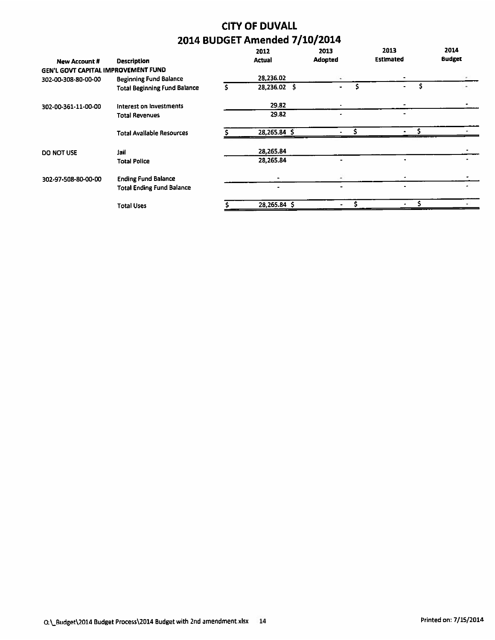| <b>Description</b>                  |                                                                      | 2012<br><b>Actual</b> | 2013<br>Adopted | 2013<br><b>Estimated</b> | 2014<br><b>Budget</b> |
|-------------------------------------|----------------------------------------------------------------------|-----------------------|-----------------|--------------------------|-----------------------|
|                                     |                                                                      |                       |                 |                          |                       |
|                                     |                                                                      | 28,236.02             | ۰               |                          |                       |
| <b>Total Beginning Fund Balance</b> | s                                                                    | 28,236.02 \$          |                 |                          |                       |
| Interest on Investments             |                                                                      | 29.82                 |                 |                          |                       |
| <b>Total Revenues</b>               |                                                                      | 29.82                 |                 |                          |                       |
| <b>Total Available Resources</b>    |                                                                      | 28,265.84 \$          |                 |                          |                       |
| Jail                                |                                                                      | 28,265.84             |                 |                          |                       |
| <b>Total Police</b>                 |                                                                      | 28,265.84             |                 |                          |                       |
| <b>Ending Fund Balance</b>          |                                                                      |                       |                 |                          |                       |
| <b>Total Ending Fund Balance</b>    |                                                                      | ۰                     |                 |                          |                       |
| <b>Total Uses</b>                   |                                                                      | $28,265.84$ \$        |                 |                          |                       |
|                                     | GEN'L GOVT CAPITAL IMPROVEMENT FUND<br><b>Beginning Fund Balance</b> |                       |                 |                          |                       |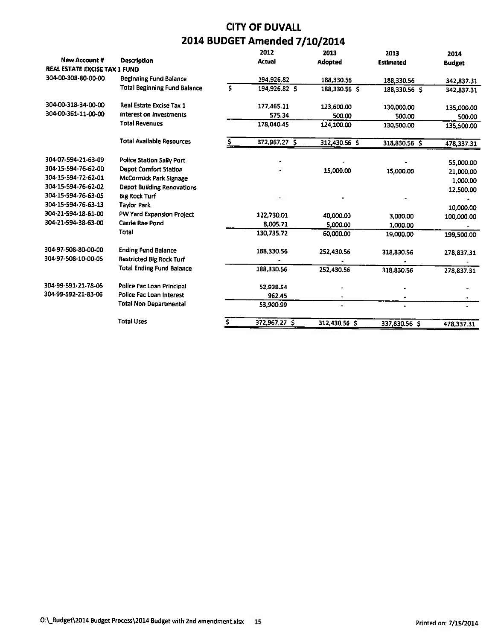|                               |                                     |     | 2012          | 2013           | 2013             | 2014          |
|-------------------------------|-------------------------------------|-----|---------------|----------------|------------------|---------------|
| <b>New Account #</b>          | <b>Description</b>                  |     | <b>Actual</b> | <b>Adopted</b> | <b>Estimated</b> | <b>Budget</b> |
| REAL ESTATE EXCISE TAX 1 FUND |                                     |     |               |                |                  |               |
| 304-00-308-80-00-00           | <b>Beginning Fund Balance</b>       |     | 194.926.82    | 188,330.56     | 188,330.56       | 342,837.31    |
|                               | <b>Total Beginning Fund Balance</b> | \$. | 194,926.82 \$ | 188,330.56 \$  | 188,330.56 \$    | 342,837.31    |
| 304-00-318-34-00-00           | Real Estate Excise Tax 1            |     | 177.465.11    | 123,600.00     | 130,000.00       | 135,000.00    |
| 304-00-361-11-00-00           | interest on Investments             |     | 575.34        | 500.00         | 500.00           | 500.00        |
|                               | <b>Total Revenues</b>               |     | 178,040.45    | 124,100.00     | 130,500.00       | 135,500.00    |
|                               | <b>Total Available Resources</b>    |     | 372,967.27 \$ | 312,430.56 \$  | 318,830.56 \$    | 478,337.31    |
| 304-07-594-21-63-09           | <b>Police Station Sally Port</b>    |     |               |                |                  | 55,000.00     |
| 304-15-594-76-62-00           | <b>Depot Comfort Station</b>        |     |               | 15,000.00      | 15,000.00        | 21,000.00     |
| 304-15-594-72-62-01           | McCormick Park Signage              |     |               |                |                  | 1,000.00      |
| 304-15-594-76-62-02           | <b>Depot Building Renovations</b>   |     |               |                |                  | 12,500.00     |
| 304-15-594-76-63-05           | <b>Big Rock Turf</b>                |     |               |                |                  |               |
| 304-15-594-76-63-13           | <b>Taylor Park</b>                  |     |               |                |                  | 10,000.00     |
| 304-21-594-18-61-00           | PW Yard Expansion Project           |     | 122,730.01    | 40,000.00      | 3,000.00         | 100,000.00    |
| 304-21-594-38-63-00           | <b>Carrie Rae Pond</b>              |     | 8.005.71      | 5,000.00       | 1,000.00         |               |
|                               | Total                               |     | 130,735.72    | 60,000.00      | 19,000.00        | 199,500.00    |
| 304-97-508-80-00-00           | <b>Ending Fund Balance</b>          |     | 188,330.56    | 252,430.56     | 318,830.56       | 278,837.31    |
| 304-97-508-10-00-05           | <b>Restricted Big Rock Turf</b>     |     |               |                |                  |               |
|                               | <b>Total Ending Fund Balance</b>    |     | 188,330.56    | 252,430.56     | 318,830.56       | 278,837.31    |
| 304-99-591-21-78-06           | Police Fac Loan Principal           |     | 52,938.54     |                |                  |               |
| 304-99-592-21-83-06           | Police Fac Loan Interest            |     | 962.45        |                |                  |               |
|                               | <b>Total Non Departmental</b>       |     | 53.900.99     |                | $\bullet$        |               |
|                               | <b>Total Uses</b>                   |     | 372,967.27 \$ | 312,430.56 S   | 337,830.56 S     | 478,337.31    |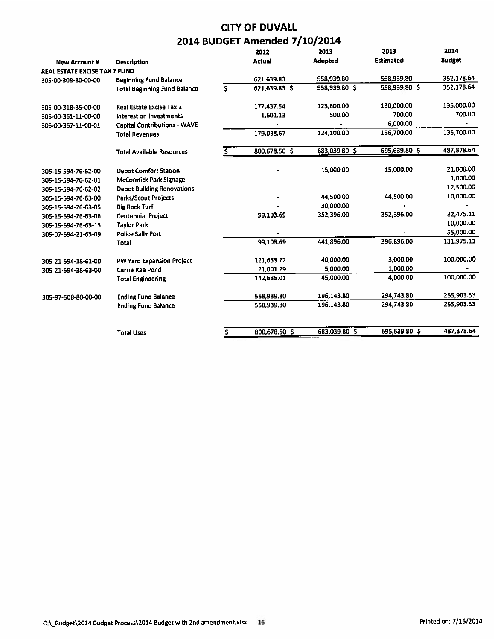|                               |                                     |     | 2012          | 2013          | 2013             | 2014          |
|-------------------------------|-------------------------------------|-----|---------------|---------------|------------------|---------------|
| <b>New Account #</b>          | <b>Description</b>                  |     | <b>Actual</b> | Adopted       | <b>Estimated</b> | <b>Budget</b> |
| REAL ESTATE EXCISE TAX 2 FUND |                                     |     |               |               |                  |               |
| 305-00-308-80-00-00           | <b>Beginning Fund Balance</b>       |     | 621,639.83    | 558,939.80    | 558,939.80       | 352,178.64    |
|                               | <b>Total Beginning Fund Balance</b> | \$. | 621.639.83 \$ | 558,939.80 \$ | 558,939.80 \$    | 352,178.64    |
| 305-00-318-35-00-00           | <b>Real Estate Excise Tax 2</b>     |     | 177,437.54    | 123,600.00    | 130,000.00       | 135,000.00    |
| 305-00-361-11-00-00           | Interest on Investments             |     | 1,601.13      | 500.00        | 700.00           | 700.00        |
| 305-00-367-11-00-01           | <b>Capital Contributions - WAVE</b> |     |               |               | 6,000.00         |               |
|                               | <b>Total Revenues</b>               |     | 179,038.67    | 124,100.00    | 136,700.00       | 135,700.00    |
|                               | <b>Total Available Resources</b>    |     | 800,678.50 \$ | 683,039.80 \$ | 695,639.80 \$    | 487,878.64    |
| 305-15-594-76-62-00           | <b>Depot Comfort Station</b>        |     |               | 15,000.00     | 15,000.00        | 21,000.00     |
| 305-15-594-76-62-01           | <b>McCormick Park Signage</b>       |     |               |               |                  | 1,000.00      |
| 305-15-594-76-62-02           | <b>Depot Building Renovations</b>   |     |               |               |                  | 12,500.00     |
| 305-15-594-76-63-00           | <b>Parks/Scout Projects</b>         |     |               | 44,500.00     | 44,500.00        | 10,000.00     |
| 305-15-594-76-63-05           | <b>Big Rock Turf</b>                |     |               | 30,000.00     |                  |               |
| 305-15-594-76-63-06           | <b>Centennial Project</b>           |     | 99,103.69     | 352,396.00    | 352,396.00       | 22,475.11     |
| 305-15-594-76-63-13           | <b>Taylor Park</b>                  |     |               |               |                  | 10,000.00     |
| 305-07-594-21-63-09           | <b>Police Sally Port</b>            |     |               |               |                  | 55,000.00     |
|                               | Total                               |     | 99,103.69     | 441,896.00    | 396,896.00       | 131,975.11    |
| 305-21-594-18-61-00           | PW Yard Expansion Project           |     | 121,633.72    | 40,000.00     | 3,000.00         | 100,000.00    |
| 305-21-594-38-63-00           | <b>Carrie Rae Pond</b>              |     | 21,001.29     | 5,000.00      | 1,000.00         |               |
|                               | <b>Total Engineering</b>            |     | 142,635.01    | 45.000.00     | 4,000.00         | 100,000.00    |
| 305-97-508-80-00-00           | <b>Ending Fund Balance</b>          |     | 558,939.80    | 196,143.80    | 294,743.80       | 255,903.53    |
|                               | <b>Ending Fund Balance</b>          |     | 558,939.80    | 196,143.80    | 294,743.80       | 255,903.53    |
|                               |                                     |     |               |               |                  | 487,878.64    |
|                               | <b>Total Uses</b>                   |     | 800,678.50 \$ | 683,039.80 \$ | 695,639.80 \$    |               |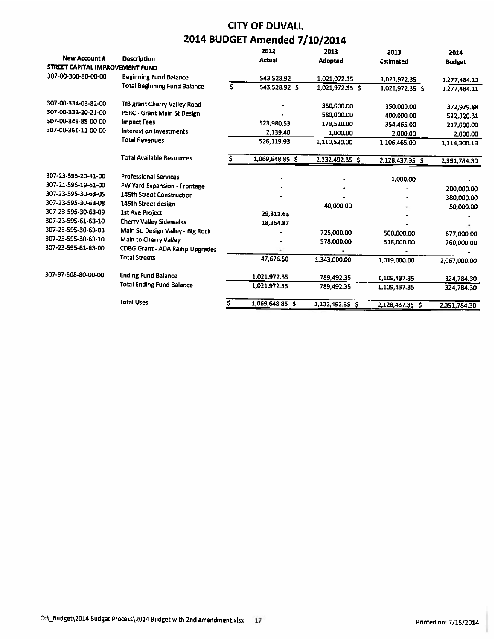|                                 |                                     | 2012                | 2013            | 2013             | 2014          |
|---------------------------------|-------------------------------------|---------------------|-----------------|------------------|---------------|
| <b>New Account #</b>            | <b>Description</b>                  | <b>Actual</b>       | Adopted         | <b>Estimated</b> | <b>Budget</b> |
| STREET CAPITAL IMPROVEMENT FUND |                                     |                     |                 |                  |               |
| 307-00-308-80-00-00             | <b>Beginning Fund Balance</b>       | 543,528.92          | 1,021,972.35    | 1,021,972.35     | 1,277,484.11  |
|                                 | <b>Total Beginning Fund Balance</b> | \$<br>543,528.92 \$ | 1,021,972.35 \$ | 1,021,972.35 \$  | 1,277,484.11  |
| 307-00-334-03-82-00             | TIB grant Cherry Valley Road        |                     | 350,000.00      | 350,000.00       | 372,979.88    |
| 307-00-333-20-21-00             | PSRC - Grant Main St Design         |                     | 580,000.00      | 400,000.00       | 522,320.31    |
| 307-00-345-85-00-00             | Impact Fees                         | 523,980.53          | 179,520.00      | 354,465.00       | 217,000.00    |
| 307-00-361-11-00-00             | Interest on Investments             | 2,139.40            | 1,000.00        | 2,000.00         | 2,000.00      |
|                                 | <b>Total Revenues</b>               | 526,119.93          | 1,110,520.00    | 1,106,465.00     | 1.114,300.19  |
|                                 | <b>Total Available Resources</b>    | 1,069,648.85 \$     | 2,132,492.35 \$ | 2,128,437.35 \$  | 2,391,784.30  |
| 307-23-595-20-41-00             | <b>Professional Services</b>        |                     |                 | 1,000.00         |               |
| 307-21-595-19-61-00             | PW Yard Expansion - Frontage        |                     |                 |                  | 200,000.00    |
| 307-23-595-30-63-05             | 145th Street Construction           |                     |                 |                  | 380,000.00    |
| 307-23-595-30-63-08             | 145th Street design                 |                     | 40,000.00       |                  | 50,000.00     |
| 307-23-595-30-63-09             | <b>1st Ave Project</b>              | 29,311.63           |                 |                  |               |
| 307-23-595-61-63-10             | Cherry Valley Sidewalks             | 18,364.87           |                 |                  |               |
| 307-23-595-30-63-03             | Main St. Design Valley - Big Rock   |                     | 725,000.00      | 500,000.00       | 677,000.00    |
| 307-23-595-30-63-10             | Main to Cherry Valley               |                     | 578,000.00      | 518,000.00       | 760,000.00    |
| 307-23-595-61-63-00             | CDBG Grant - ADA Ramp Upgrades      |                     |                 |                  |               |
|                                 | <b>Total Streets</b>                | 47,676.50           | 1.343,000.00    | 1,019,000.00     | 2,067,000.00  |
| 307-97-508-80-00-00             | <b>Ending Fund Balance</b>          | 1,021,972.35        | 789,492.35      | 1,109,437.35     | 324,784.30    |
|                                 | <b>Total Ending Fund Balance</b>    | 1,021,972.35        | 789,492.35      | 1,109,437.35     | 324,784.30    |
|                                 | <b>Total Uses</b>                   | 1,069,648.85 \$     | 2,132,492.35 \$ | 2,128,437.35 \$  | 2.391.784.30  |
|                                 |                                     |                     |                 |                  |               |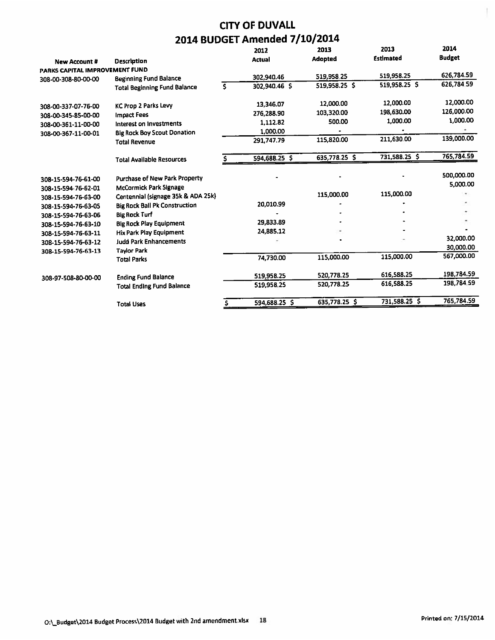|                                |                                      |    | 2012          | 2013           | 2013             | 2014          |
|--------------------------------|--------------------------------------|----|---------------|----------------|------------------|---------------|
| <b>New Account #</b>           | <b>Description</b>                   |    | <b>Actual</b> | <b>Adopted</b> | <b>Estimated</b> | <b>Budget</b> |
| PARKS CAPITAL IMPROVEMENT FUND |                                      |    |               |                |                  |               |
| 308-00-308-80-00-00            | <b>Beginning Fund Balance</b>        |    | 302.940.46    | 519.958.25     | 519,958.25       | 626,784.59    |
|                                | <b>Total Beginning Fund Balance</b>  | s. | 302.940.46 S  | 519,958.25 \$  | 519,958.25 \$    | 626,784.59    |
| 308-00-337-07-76-00            | <b>KC Prop 2 Parks Levy</b>          |    | 13,346.07     | 12,000.00      | 12,000.00        | 12,000.00     |
| 308-00-345-85-00-00            | <b>Impact Fees</b>                   |    | 276.288.90    | 103.320.00     | 198,630.00       | 126,000.00    |
| 308-00-361-11-00-00            | Interest on Investments              |    | 1.112.82      | 500.00         | 1,000.00         | 1,000.00      |
| 308-00-367-11-00-01            | <b>Big Rock Boy Scout Donation</b>   |    | 1,000.00      |                |                  |               |
|                                | <b>Total Revenue</b>                 |    | 291,747.79    | 115,820.00     | 211,630.00       | 139,000.00    |
|                                | <b>Total Available Resources</b>     |    | 594,688.25 \$ | 635,778.25 \$  | 731,588.25 \$    | 765,784.59    |
| 308-15-594-76-61-00            | <b>Purchase of New Park Property</b> |    |               |                |                  | 500,000.00    |
| 308-15-594-76-62-01            | <b>McCormick Park Signage</b>        |    |               |                |                  | 5,000.00      |
| 308-15-594-76-63-00            | Centennial (signage 35k & ADA 25k)   |    |               | 115,000.00     | 115,000.00       |               |
| 308-15-594-76-63-05            | <b>Big Rock Ball Pk Construction</b> |    | 20,010.99     |                |                  |               |
| 308-15-594-76-63-06            | <b>Big Rock Turf</b>                 |    |               |                |                  |               |
| 308-15-594-76-63-10            | <b>Big Rock Play Equipment</b>       |    | 29.833.89     |                |                  |               |
| 308-15-594-76-63-11            | Hix Park Play Equipment              |    | 24,885.12     |                |                  |               |
| 308-15-594-76-63-12            | <b>Judd Park Enhancements</b>        |    |               |                |                  | 32,000.00     |
| 308-15-594-76-63-13            | <b>Taylor Park</b>                   |    |               |                |                  | 30,000.00     |
|                                | <b>Total Parks</b>                   |    | 74,730.00     | 115,000.00     | 115,000.00       | 567,000.00    |
| 308-97-508-80-00-00            | <b>Ending Fund Balance</b>           |    | 519,958.25    | 520,778.25     | 616,588.25       | 198,784.59    |
|                                | <b>Total Ending Fund Balance</b>     |    | 519,958.25    | 520,778.25     | 616,588.25       | 198,784.59    |
|                                | <b>Total Uses</b>                    |    | 594,688.25 \$ | 635,778.25 \$  | 731,588.25 \$    | 765,784.59    |

ĵ.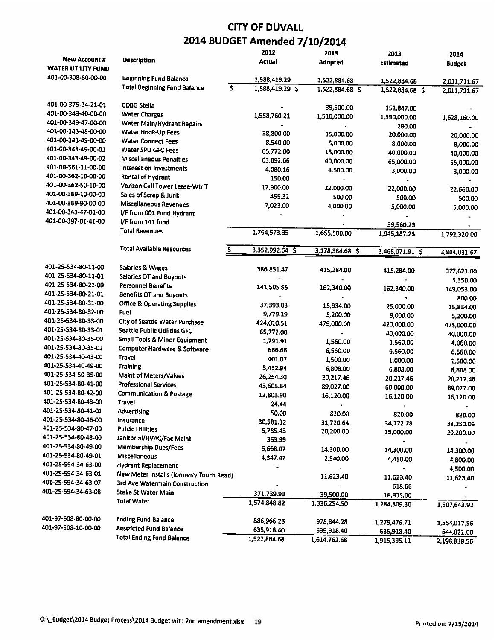|                           |                                                                        | 2012            | 2013            | 2013             | 2014          |
|---------------------------|------------------------------------------------------------------------|-----------------|-----------------|------------------|---------------|
| <b>New Account #</b>      | <b>Description</b>                                                     | Actual          | <b>Adopted</b>  | <b>Estimated</b> | <b>Budget</b> |
| <b>WATER UTILITY FUND</b> |                                                                        |                 |                 |                  |               |
| 401-00-308-80-00-00       | <b>Beginning Fund Balance</b>                                          | 1,588,419.29    | 1,522,884.68    | 1,522,884.68     | 2,011,711.67  |
|                           | <b>Total Beginning Fund Balance</b><br>$\overline{\boldsymbol{\zeta}}$ | 1,588,419.29 \$ | 1,522,884.68 \$ | 1,522,884.68 \$  | 2,011,711.67  |
| 401-00-375-14-21-01       | <b>CDBG Stella</b>                                                     |                 | 39,500.00       |                  |               |
| 401-00-343-40-00-00       | <b>Water Charges</b>                                                   | 1,558,760.21    |                 | 151,847.00       |               |
| 401-00-343-47-00-00       | Water Main/Hydrant Repairs                                             |                 | 1,510,000.00    | 1,590,000.00     | 1,628,160.00  |
| 401-00-343-48-00-00       | Water Hook-Up Fees                                                     | 38,800.00       |                 | 280.00           |               |
| 401-00-343-49-00-00       | <b>Water Connect Fees</b>                                              | 8,540.00        | 15,000.00       | 20,000.00        | 20,000.00     |
| 401-00-343-49-00-01       | Water SPU GFC Fees                                                     | 65,772.00       | 5,000.00        | 8,000.00         | 8,000.00      |
| 401-00-343-49-00-02       | <b>Miscellaneous Penalties</b>                                         | 63,092.66       | 15,000.00       | 40,000.00        | 40,000.00     |
| 401-00-361-11-00-00       | Interest on Investments                                                | 4,080.16        | 40,000.00       | 65,000.00        | 65,000.00     |
| 401-00-362-10-00-00       | <b>Rental of Hydrant</b>                                               | 150.00          | 4,500.00        | 3,000.00         | 3,000.00      |
| 401-00-362-50-10-00       | Verizon Cell Tower Lease-Wtr T                                         |                 |                 |                  |               |
| 401-00-369-10-00-00       | Sales of Scrap & Junk                                                  | 17,900.00       | 22,000.00       | 22,000.00        | 22,660.00     |
| 401-00-369-90-00-00       | Miscellaneous Revenues                                                 | 455.32          | 500.00          | 500.00           | 500.00        |
| 401-00-343-47-01-00       | I/F from 001 Fund Hydrant                                              | 7,023.00        | 4,000.00        | 5,000.00         | 5,000.00      |
| 401-00-397-01-41-00       | I/F from 141 fund                                                      |                 |                 |                  |               |
|                           | <b>Total Revenues</b>                                                  |                 |                 | 39,560.23        |               |
|                           |                                                                        | 1,764,573.35    | 1,655,500.00    | 1,945,187.23     | 1,792,320.00  |
|                           | <b>Total Available Resources</b><br>\$                                 | 3,352,992.64 \$ | 3,178,384.68 \$ | 3,468,071.91 \$  | 3,804,031.67  |
|                           |                                                                        |                 |                 |                  |               |
| 401-25-534-80-11-00       | Salaries & Wages                                                       | 386,851.47      | 415,284.00      | 415,284.00       | 377,621.00    |
| 401-25-534-80-11-01       | <b>Salaries OT and Buyouts</b>                                         |                 |                 |                  | 5,350.00      |
| 401-25-534-80-21-00       | <b>Personnel Benefits</b>                                              | 141,505.55      | 162,340.00      | 162,340.00       | 149,053.00    |
| 401-25-534-80-21-01       | <b>Benefits OT and Buyouts</b>                                         |                 |                 |                  | 800.00        |
| 401-25-534-80-31-00       | <b>Office &amp; Operating Supplies</b>                                 | 37,393.03       | 15,934.00       | 25,000.00        | 15,834.00     |
| 401-25-534-80-32-00       | Fuel                                                                   | 9,779.19        | 5,200.00        | 9,000.00         | 5,200.00      |
| 401-25-534-80-33-00       | City of Seattle Water Purchase                                         | 424,010.51      | 475,000.00      | 420,000.00       | 475,000.00    |
| 401-25-534-80-33-01       | Seattle Public Utilities GFC                                           | 65,772.00       |                 | 40,000.00        | 40,000.00     |
| 401-25-534-80-35-00       | <b>Small Tools &amp; Minor Equipment</b>                               | 1,791.91        | 1,560.00        | 1,560.00         | 4,060.00      |
| 401-25-534-80-35-02       | <b>Computer Hardware &amp; Software</b>                                | 666.66          | 6,560.00        | 6,560.00         | 6,560.00      |
| 401-25-534-40-43-00       | Travel                                                                 | 401.07          | 1,500.00        | 1,000.00         | 1,500.00      |
| 401-25-534-40-49-00       | Training                                                               | 5,452.94        | 6,808.00        | 6,808.00         | 6,808.00      |
| 401-25-534-50-35-00       | Maint of Meters/Valves                                                 | 26,254.30       | 20,217.46       | 20,217.46        | 20,217.46     |
| 401-25-534-80-41-00       | <b>Professional Services</b>                                           | 43,605.64       | 89,027.00       | 60,000.00        | 89,027.00     |
| 401-25-534-80-42-00       | <b>Communication &amp; Postage</b>                                     | 12,803.90       | 16,120.00       | 16,120.00        | 16,120.00     |
| 401-25-534-80-43-00       | Travel                                                                 | 24.44           |                 |                  |               |
| 401-25-534-80-41-01       | Advertising                                                            | 50.00           | 820.00          | 820.00           | 820.00        |
| 401-25-534-80-46-00       | Insurance                                                              | 30,581.32       | 31,720,64       | 34,772.78        | 38,250.06     |
| 401-25-534-80-47-00       | <b>Public Utilities</b>                                                | 5,785.43        | 20,200.00       | 15,000.00        | 20,200.00     |
| 401-25-534-80-48-00       | Janitorial/HVAC/Fac Maint                                              | 363.99          |                 |                  |               |
| 401-25-534-80-49-00       | Membership Dues/Fees                                                   | 5,668.07        | 14,300.00       | 14,300.00        | 14,300.00     |
| 401-25-534-80-49-01       | Miscellaneous                                                          | 4,347.47        | 2,540.00        | 4,450.00         | 4,800.00      |
| 401-25-594-34-63-00       | <b>Hydrant Replacement</b>                                             |                 |                 |                  | 4,500.00      |
| 401-25-594-34-63-01       | New Meter Installs (formerly Touch Read)                               |                 | 11,623.40       | 11,623.40        | 11,623.40     |
| 401-25-594-34-63-07       | 3rd Ave Watermain Construction                                         |                 |                 | 618.66           |               |
| 401-25-594-34-63-08       | Stella St Water Main                                                   | 371,739.93      | 39,500.00       | 18,835.00        |               |
|                           | <b>Total Water</b>                                                     | 1,574,848.82    | 1,336,254.50    | 1,284,309.30     | 1,307,643.92  |
| 401-97-508-80-00-00       |                                                                        |                 |                 |                  |               |
| 401-97-508-10-00-00       | <b>Ending Fund Balance</b>                                             | 886,966.28      | 978,844.28      | 1,279,476.71     | 1,554,017,56  |
|                           | <b>Restricted Fund Balance</b>                                         | 635,918.40      | 635,918.40      | 635,918.40       | 644,821.00    |
|                           | <b>Total Ending Fund Balance</b>                                       | 1,522,884.68    | 1,614,762.68    | 1,915,395.11     | 2,198,838.56  |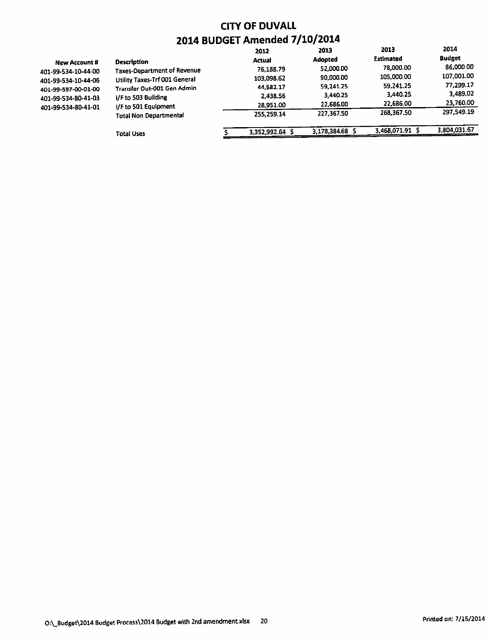|                     |                                    | 2012            | 2013            | 2013             | 2014          |
|---------------------|------------------------------------|-----------------|-----------------|------------------|---------------|
| New Account #       | <b>Description</b>                 | <b>Actual</b>   | <b>Adopted</b>  | <b>Estimated</b> | <b>Budget</b> |
| 401-99-534-10-44-00 | <b>Taxes-Department of Revenue</b> | 76.188.79       | 52.000.00       | 78,000.00        | 86,000.00     |
| 401-99-534-10-44-06 | Utility Taxes-Trf 001 General      | 103,098.62      | 90,000.00       | 105,000.00       | 107,001.00    |
| 401-99-597-00-01-00 | Transfer Out-001 Gen Admin         | 44,582.17       | 59,241.25       | 59,241.25        | 77,299.17     |
| 401-99-534-80-41-03 | I/F to 503 Building                | 2,438.56        | 3,440.25        | 3,440.25         | 3,489.02      |
| 401-99-534-80-41-01 | I/F to 501 Equipment               | 28,951.00       | 22,686.00       | 22,686.00        | 23,760.00     |
|                     | Total Non Departmental             | 255.259.14      | 227,367.50      | 268.367.50       | 297.549.19    |
|                     | <b>Total Uses</b>                  | 3,352,992.64 \$ | 3,178,384.68 \$ | 3,468,071.91     | 3,804,031.67  |
|                     |                                    |                 |                 |                  |               |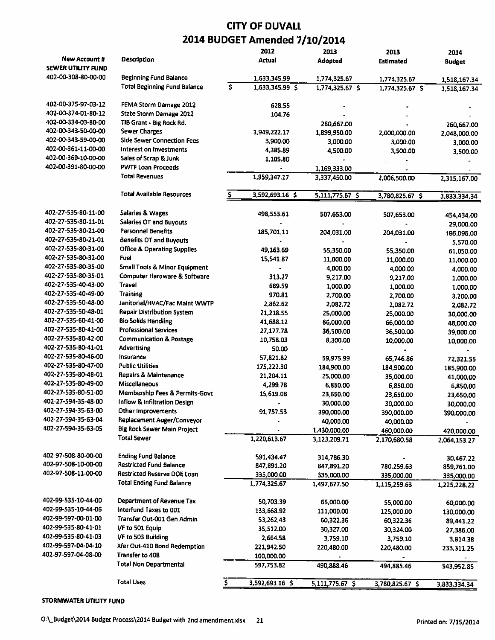|                     |                                                         |          | 2012            | 2013                     | 2013                       | 2014                       |
|---------------------|---------------------------------------------------------|----------|-----------------|--------------------------|----------------------------|----------------------------|
| New Account #       | <b>Description</b>                                      |          | <b>Actual</b>   | Adopted                  | Estimated                  | <b>Budget</b>              |
| SEWER UTILITY FUND  |                                                         |          |                 |                          |                            |                            |
| 402-00-308-80-00-00 | Beginning Fund Balance                                  |          | 1,633,345.99    | 1,774,325.67             | 1,774,325.67               | 1,518,167.34               |
|                     | <b>Total Beginning Fund Balance</b>                     | \$       | 1,633,345.99 \$ | 1,774,325.67 \$          | 1,774,325.67 \$            | 1,518,167.34               |
| 402-00-375-97-03-12 | FEMA Storm Damage 2012                                  |          | 628.55          |                          |                            |                            |
| 402-00-374-01-80-12 | State Storm Damage 2012                                 |          | 104.76          |                          |                            |                            |
| 402-00-334-03-80-00 | TIB Grant - Big Rock Rd.                                |          |                 | 260,667.00               |                            |                            |
| 402-00-343-50-00-00 | <b>Sewer Charges</b>                                    |          | 1,949,222.17    | 1,899,950.00             | 2,000,000.00               | 260,667.00                 |
| 402-00-343-59-00-00 | <b>Side Sewer Connection Fees</b>                       |          | 3,900.00        | 3,000.00                 | 3,000.00                   | 2,048,000.00               |
| 402-00-361-11-00-00 | Interest on Investments                                 |          | 4,385.89        | 4,500.00                 | 3,500.00                   | 3,000.00                   |
| 402-00-369-10-00-00 | Sales of Scrap & Junk                                   |          | 1.105.80        |                          |                            | 3,500.00                   |
| 402-00-391-80-00-00 | <b>PWTF Loan Proceeds</b>                               |          |                 | 1,169,333.00             |                            |                            |
|                     | <b>Total Revenues</b>                                   |          | 1,959,347.17    | 3,337,450.00             | 2,006,500.00               | 2,315,167.00               |
|                     |                                                         |          |                 |                          |                            |                            |
|                     | <b>Total Available Resources</b>                        |          | 3,592,693.16 \$ | 5,111,775.67 \$          | 3,780,825.67 \$            | 3,833,334.34               |
| 402-27-535-80-11-00 | Salaries & Wages                                        |          | 498,553.61      | 507,653.00               | 507,653.00                 | 454,434.00                 |
| 402-27-535-80-11-01 | <b>Salaries OT and Buyouts</b>                          |          |                 |                          |                            | 29,000.00                  |
| 402-27-535-80-21-00 | <b>Personnel Benefits</b>                               |          | 185,701.11      | 204,031.00               | 204,031.00                 | 195,095.00                 |
| 402-27-535-80-21-01 | <b>Benefits OT and Buyouts</b>                          |          |                 |                          |                            | 5,570.00                   |
| 402-27-535-80-31-00 | <b>Office &amp; Operating Supplies</b>                  |          | 49,163.69       | 55,350.00                | 55,350.00                  | 61,050.00                  |
| 402-27-535-80-32-00 | <b>Fuel</b>                                             |          | 15,541.87       | 11,000.00                | 11,000.00                  | 11,000.00                  |
| 402-27-535-80-35-00 | <b>Small Tools &amp; Minor Equipment</b>                |          |                 | 4,000.00                 | 4,000.00                   | 4,000.00                   |
| 402-27-535-80-35-01 | Computer Hardware & Software                            |          | 313.27          | 9,217.00                 | 9,217.00                   | 1,000.00                   |
| 402-27-535-40-43-00 | <b>Travel</b>                                           |          | 689.59          | 1,000.00                 | 1,000.00                   | 1,000.00                   |
| 402-27-535-40-49-00 | <b>Training</b>                                         |          | 970.81          | 2,700.00                 | 2,700.00                   | 3,200.00                   |
| 402-27-535-50-48-00 | Janitorial/HVAC/Fac Maint WWTP                          |          | 2,862.62        | 2,082.72                 | 2,082.72                   | 2,082.72                   |
| 402-27-535-50-48-01 | <b>Repair Distribution System</b>                       |          | 21,218.55       | 25,000.00                | 25,000.00                  | 30,000.00                  |
| 402-27-535-60-41-00 | <b>Bio Solids Handling</b>                              |          | 41,688.12       | 66,000.00                | 66,000.00                  | 48,000.00                  |
| 402-27-535-80-41-00 | <b>Professional Services</b>                            |          | 27,177.78       | 36,500.00                | 36,500.00                  | 39,000.00                  |
| 402-27-535-80-42-00 | <b>Communication &amp; Postage</b>                      |          | 10,758.03       | 8,300.00                 | 10,000.00                  | 10,000.00                  |
| 402-27-535-80-41-01 | Advertising                                             |          | 50.00           | $\blacksquare$           |                            |                            |
| 402-27-535-80-46-00 | Insurance                                               |          | 57,821.82       | 59,975.99                | 65,746.86                  | 72,321,55                  |
| 402-27-535-80-47-00 | <b>Public Utilities</b>                                 |          | 175,222.30      | 184,900.00               | 184,900.00                 | 185,900.00                 |
| 402-27-535-80-48-01 | Repairs & Maintenance                                   |          | 21,204.11       | 25,000.00                | 35,000.00                  | 41,000.00                  |
| 402-27-535-80-49-00 | <b>Miscellaneous</b>                                    |          | 4,299.78        | 6,850.00                 | 6,850.00                   | 6,850.00                   |
| 402-27-535-80-51-00 | Membership Fees & Permits-Govt                          |          | 15,619.08       | 23,650.00                | 23,650.00                  | 23,650.00                  |
| 402-27-594-35-48-00 | Inflow & Infiltration Design                            |          |                 | 30,000.00                | 30,000.00                  | 30,000.00                  |
| 402-27-594-35-63-00 | Other Improvements                                      |          | 91,757.53       | 390,000.00               | 390,000.00                 | 390,000.00                 |
| 402-27-594-35-63-04 | Replacement Auger/Conveyor                              |          |                 | 40,000.00                | 40,000.00                  |                            |
| 402-27-594-35-63-05 | Big Rock Sewer Main Project                             |          |                 | 1,430,000.00             | 460,000.00                 | 420,000.00                 |
|                     | <b>Total Sewer</b>                                      |          | 1,220,613.67    | 3,123,209.71             | 2,170,680.58               | 2,064,153.27               |
| 402-97-508-80-00-00 | <b>Ending Fund Balance</b>                              |          | 591,434.47      | 314,786.30               |                            |                            |
| 402-97-508-10-00-00 | <b>Restricted Fund Balance</b>                          |          | 847,891.20      |                          |                            | 30,467.22                  |
| 402-97-508-11-00-00 | Restricted Reserve DOE Loan                             |          | 335,000.00      | 847,891.20<br>335,000.00 | 780,259.63                 | 859,761.00                 |
|                     | <b>Total Ending Fund Balance</b>                        |          | 1.774,325.67    | 1,497,677.50             | 335,000.00<br>1,115,259.63 | 335,000.00<br>1,225,228.22 |
|                     |                                                         |          |                 |                          |                            |                            |
| 402-99-535-10-44-00 | Department of Revenue Tax                               |          | 50,703.39       | 65,000.00                | 55,000.00                  | 60,000.00                  |
| 402-99-535-10-44-06 | Interfund Taxes to 001                                  |          | 133,668.92      | 111,000.00               | 125,000.00                 | 130,000.00                 |
| 402-99-597-00-01-00 | Transfer Out-001 Gen Admin                              |          | 53,262,43       | 60,322.36                | 60,322.36                  | 89,441.22                  |
| 402-99-535-80-41-01 | I/F to 501 Equip                                        |          | 35,512.00       | 30,327.00                | 30,324.00                  | 27,386.00                  |
| 402-99-535-80-41-03 | I/F to 503 Building                                     |          | 2,664.58        | 3,759.10                 | 3,759.10                   | 3,814.38                   |
| 402-99-597-04-04-10 | Xfer Out-410 Bond Redemption                            |          | 221,942.50      | 220,480.00               | 220,480.00                 | 233,311.25                 |
| 402-97-597-04-08-00 | <b>Transfer to 408</b><br><b>Total Non Departmental</b> |          | 100,000.00      |                          |                            |                            |
|                     |                                                         |          | 597,753.82      | 490,888.46               | 494,885.46                 | 543,952.85                 |
|                     | <b>Total Uses</b>                                       | <u>s</u> | 3,592,693.16 \$ | 5,111,775.67 \$          | 3,780,825.67 \$            | 3,833,334.34               |

STORMWATER UTILITY FUND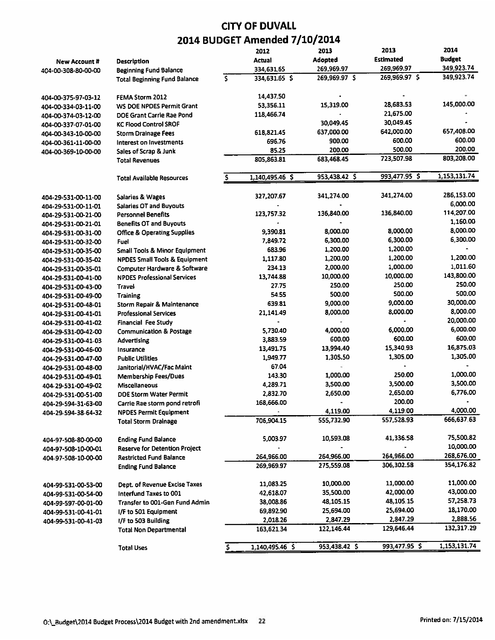|                     |                                          | 2012                | 2013          | 2013          | 2014                   |
|---------------------|------------------------------------------|---------------------|---------------|---------------|------------------------|
| New Account #       | Description                              | Actual              | Adopted       | Estimated     | <b>Budget</b>          |
| 404-00-308-80-00-00 | <b>Beginning Fund Balance</b>            | 334,631.65          | 269,969.97    | 269,969.97    | 349,923.74             |
|                     | <b>Total Beginning Fund Balance</b>      | \$<br>334,631.65 \$ | 269,969.97 \$ | 269,969.97 \$ | 349,923.74             |
| 404-00-375-97-03-12 | FEMA Storm 2012                          | 14,437.50           |               |               |                        |
| 404-00-334-03-11-00 | WS DOE NPDES Permit Grant                | 53,356.11           | 15,319.00     | 28,683.53     | 145,000.00             |
| 404-00-374-03-12-00 | DOE Grant Carrie Rae Pond                | 118,466.74          |               | 21,675.00     |                        |
| 404-00-337-07-01-00 | <b>KC Flood Control SROF</b>             |                     | 30,049.45     | 30,049.45     |                        |
| 404-00-343-10-00-00 | <b>Storm Drainage Fees</b>               | 618,821.45          | 637,000.00    | 642,000.00    | 657,408.00             |
| 404-00-361-11-00-00 | Interest on Investments                  | 696.76              | 900.00        | 600.00        | 600.00                 |
| 404-00-369-10-00-00 | Sales of Scrap & Junk                    | 85.25               | 200.00        | 500.00        | 200.00                 |
|                     | <b>Total Revenues</b>                    | 805,863.81          | 683,468.45    | 723,507.98    | 803,208.00             |
|                     | <b>Total Available Resources</b>         | 1,140,495.46 \$     | 953,438.42 \$ | 993,477.95 \$ | 1,153,131.74           |
|                     |                                          |                     |               |               |                        |
| 404-29-531-00-11-00 | Salaries & Wages                         | 327,207.67          | 341,274.00    | 341.274.00    | 286,153.00<br>6,000.00 |
| 404-29-531-00-11-01 | <b>Salaries OT and Buyouts</b>           |                     |               |               |                        |
| 404-29-531-00-21-00 | <b>Personnel Benefits</b>                | 123,757.32          | 136,840.00    | 136,840.00    | 114,207.00             |
| 404-29-531-00-21-01 | <b>Benefits OT and Buyouts</b>           |                     |               |               | 1,160.00               |
| 404-29-531-00-31-00 | <b>Office &amp; Operating Supplies</b>   | 9.390.81            | 8,000.00      | 8,000.00      | 8,000.00               |
| 404-29-531-00-32-00 | Fuel                                     | 7,849.72            | 6,300.00      | 6,300.00      | 6,300.00               |
| 404-29-531-00-35-00 | <b>Small Tools &amp; Minor Equipment</b> | 683.96              | 1,200.00      | 1,200.00      |                        |
| 404-29-531-00-35-02 | <b>NPDES Small Tools &amp; Equipment</b> | 1,117.80            | 1,200.00      | 1,200.00      | 1,200.00               |
| 404-29-531-00-35-01 | <b>Computer Hardware &amp; Software</b>  | 234.13              | 2,000.00      | 1,000.00      | 1,011.60               |
| 404-29-531-00-41-00 | <b>NPDES Professional Services</b>       | 13,744.88           | 10,000.00     | 10,000.00     | 143,800.00             |
| 404-29-531-00-43-00 | Travel                                   | 27.75               | 250.00        | 250.00        | 250.00                 |
| 404-29-531-00-49-00 | <b>Training</b>                          | 54.55               | 500.00        | 500.00        | 500.00                 |
| 404-29-531-00-48-01 | Storm Repair & Maintenance               | 639.81              | 9,000.00      | 9,000.00      | 30,000.00              |
| 404-29-531-00-41-01 | <b>Professional Services</b>             | 21,141.49           | 8,000.00      | 8,000.00      | 8,000.00               |
| 404-29-531-00-41-02 | <b>Financial Fee Study</b>               |                     |               |               | 20,000.00              |
| 404-29-531-00-42-00 | <b>Communication &amp; Postage</b>       | 5,730.40            | 4,000.00      | 6,000.00      | 6,000.00               |
| 404-29-531-00-41-03 | <b>Advertising</b>                       | 3,883.59            | 600.00        | 600.00        | 600.00                 |
| 404-29-531-00-46-00 | Insurance                                | 13,491.75           | 13,994.40     | 15,340.93     | 16,875.03              |
| 404-29-531-00-47-00 | <b>Public Utilities</b>                  | 1,949.77            | 1,305.50      | 1,305.00      | 1,305.00               |
| 404-29-531-00-48-00 | Janitorial/HVAC/Fac Maint                | 67.04               | ÷             |               |                        |
| 404-29-531-00-49-01 | <b>Membership Fees/Dues</b>              | 143.30              | 1,000.00      | 250.00        | 1,000.00               |
| 404-29-531-00-49-02 | Miscellaneous                            | 4,289.71            | 3,500.00      | 3,500.00      | 3,500.00               |
| 404-29-531-00-51-00 | DOE Storm Water Permit                   | 2,832.70            | 2,650.00      | 2,650.00      | 6,776.00               |
| 404-29-594-31-63-00 | Carrie Rae storm pond retrofi            | 168,666.00          |               | 200.00        |                        |
| 404-29-594-38-64-32 | <b>NPDES Permit Equipment</b>            |                     | 4,119.00      | 4,119.00      | 4,000.00               |
|                     | <b>Total Storm Drainage</b>              | 706,904.15          | 555,732.90    | 557,528.93    | 666,637.63             |
| 404-97-508-80-00-00 | <b>Ending Fund Balance</b>               | 5,003.97            | 10,593.08     | 41,336.58     | 75,500.82              |
| 404-97-508-10-00-01 | <b>Reserve for Detention Project</b>     |                     |               |               | 10,000.00              |
| 404-97-508-10-00-00 | <b>Restricted Fund Balance</b>           | 264,966.00          | 264,966.00    | 264,966.00    | 268,676.00             |
|                     | <b>Ending Fund Balance</b>               | 269,969.97          | 275,559.08    | 306,302.58    | 354,176.82             |
| 404-99-531-00-53-00 | Dept. of Revenue Excise Taxes            | 11,083.25           | 10,000.00     | 11,000.00     | 11,000.00              |
| 404-99-531-00-54-00 | Interfund Taxes to 001                   | 42,618.07           | 35,500.00     | 42,000.00     | 43,000.00              |
| 404-99-597-00-01-00 | Transfer to 001-Gen Fund Admin           | 38,008.86           | 48,105.15     | 48,105.15     | 57,258.73              |
| 404-99-531-00-41-01 | I/F to 501 Equipment                     | 69,892.90           | 25,694.00     | 25,694.00     | 18,170.00              |
| 404-99-531-00-41-03 | I/F to 503 Building                      | 2,018.26            | 2,847.29      | 2,847.29      | 2,888.56               |
|                     | <b>Total Non Departmental</b>            | 163,621,34          | 122,146.44    | 129,646.44    | 132,317.29             |
|                     | <b>Total Uses</b>                        | 1,140,495.46 \$     | 953,438.42 \$ | 993,477.95 \$ | 1,153,131.74           |
|                     |                                          |                     |               |               |                        |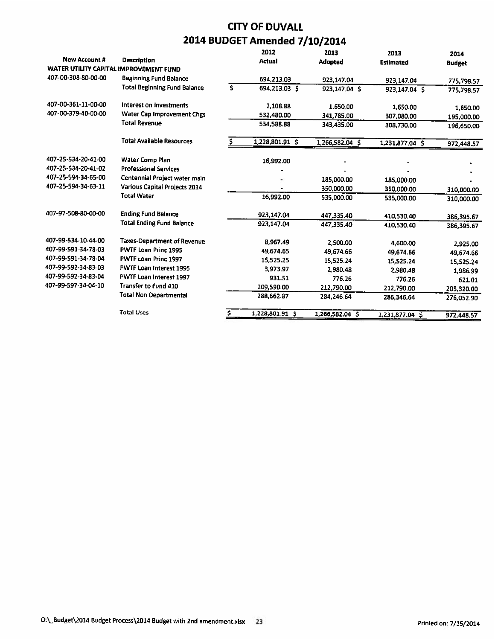|                                        |                                     |    | 2012            | 2013            | 2013             | 2014          |
|----------------------------------------|-------------------------------------|----|-----------------|-----------------|------------------|---------------|
| <b>New Account #</b>                   | Description                         |    | <b>Actual</b>   | <b>Adopted</b>  | <b>Estimated</b> | <b>Budget</b> |
| WATER UTILITY CAPITAL IMPROVEMENT FUND |                                     |    |                 |                 |                  |               |
| 407-00-308-80-00-00                    | <b>Beginning Fund Balance</b>       |    | 694,213.03      | 923,147.04      | 923,147.04       | 775,798.57    |
|                                        | <b>Total Beginning Fund Balance</b> | Ś  | 694,213.03 \$   | 923.147.04 S    | 923,147.04 S     | 775,798.57    |
| 407-00-361-11-00-00                    | Interest on Investments             |    | 2,108.88        | 1,650.00        | 1,650.00         | 1,650.00      |
| 407-00-379-40-00-00                    | Water Cap Improvement Chgs          |    | 532,480.00      | 341,785.00      | 307,080.00       | 195,000.00    |
|                                        | <b>Total Revenue</b>                |    | 534,588.88      | 343,435.00      | 308,730.00       | 196,650.00    |
|                                        | <b>Total Available Resources</b>    | S. | 1,228,801.91 \$ | 1,266,582.04 \$ | 1,231,877.04 \$  | 972,448.57    |
| 407-25-534-20-41-00                    | Water Comp Plan                     |    | 16,992.00       |                 |                  |               |
| 407-25-534-20-41-02                    | <b>Professional Services</b>        |    |                 |                 |                  |               |
| 407-25-594-34-65-00                    | Centennial Project water main       |    |                 | 185,000.00      | 185,000.00       |               |
| 407-25-594-34-63-11                    | Various Capital Projects 2014       |    |                 | 350,000.00      | 350,000.00       | 310,000.00    |
|                                        | <b>Total Water</b>                  |    | 16,992.00       | 535,000.00      | 535,000.00       | 310,000.00    |
| 407-97-508-80-00-00                    | <b>Ending Fund Balance</b>          |    | 923,147.04      | 447,335.40      | 410,530.40       | 386,395.67    |
|                                        | <b>Total Ending Fund Balance</b>    |    | 923,147.04      | 447,335.40      | 410.530.40       | 386,395.67    |
| 407-99-534-10-44-00                    | <b>Taxes-Department of Revenue</b>  |    | 8,967.49        | 2,500.00        | 4,600.00         | 2,925.00      |
| 407-99-591-34-78-03                    | PWTF Loan Princ 1995                |    | 49.674.65       | 49,674.66       | 49,674.66        | 49,674.66     |
| 407-99-591-34-78-04                    | PWTF Loan Princ 1997                |    | 15,525.25       | 15,525.24       | 15.525.24        | 15,525.24     |
| 407-99-592-34-83-03                    | PWTF Loan Interest 1995             |    | 3,973.97        | 2.980.48        | 2,980.48         | 1,986.99      |
| 407-99-592-34-83-04                    | PWTF Loan Interest 1997             |    | 931.51          | 776.26          | 776.26           | 621.01        |
| 407-99-597-34-04-10                    | <b>Transfer to Fund 410</b>         |    | 209,590.00      | 212,790.00      | 212.790.00       | 205,320.00    |
|                                        | <b>Total Non Departmental</b>       |    | 288,662.87      | 284,246.64      | 286,346.64       | 276,052.90    |
|                                        | <b>Total Uses</b>                   |    | 1,228,801.91 \$ | 1,266,582.04 \$ | 1,231,877.04 S   | 972,448.57    |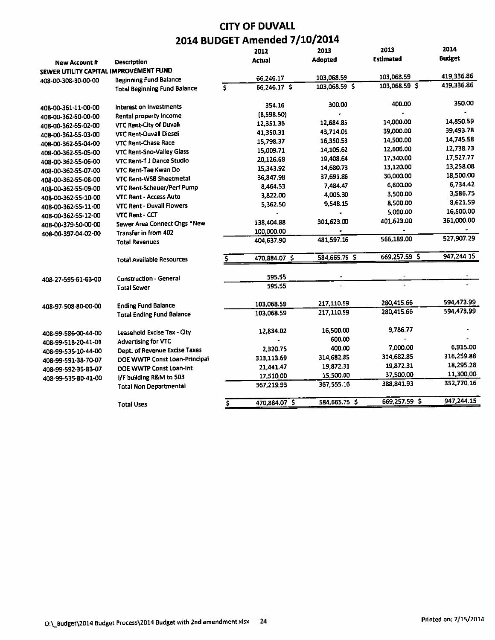|                                        |                                     |     | 2012           | 2013          | 2013             | 2014          |
|----------------------------------------|-------------------------------------|-----|----------------|---------------|------------------|---------------|
| <b>New Account #</b>                   | Description                         |     | Actual         | Adopted       | <b>Estimated</b> | <b>Budget</b> |
| SEWER UTILITY CAPITAL IMPROVEMENT FUND |                                     |     |                |               |                  |               |
| 408-00-308-80-00-00                    | <b>Beginning Fund Balance</b>       |     | 66,246.17      | 103,068.59    | 103,068.59       | 419,336.86    |
|                                        | <b>Total Beginning Fund Balance</b> | \$  | $66,246.17$ \$ | 103,068.59 \$ | 103,068.59 \$    | 419,336.86    |
| 408-00-361-11-00-00                    | Interest on Investments             |     | 354.16         | 300.00        | 400.00           | 350.00        |
| 408-00-362-50-00-00                    | Rental property income              |     | (8,598.50)     |               |                  |               |
| 408-00-362-55-02-00                    | VTC Rent-City of Duvall             |     | 12,351.36      | 12,684.85     | 14,000.00        | 14,850.59     |
| 408-00-362-55-03-00                    | <b>VTC Rent-Duvall Diesel</b>       |     | 41,350.31      | 43,714.01     | 39,000.00        | 39,493.78     |
| 408-00-362-55-04-00                    | <b>VTC Rent-Chase Race</b>          |     | 15,798.37      | 16,350.53     | 14,500.00        | 14,745.58     |
| 408-00-362-55-05-00                    | VTC Rent-Sno-Valley Glass           |     | 15,009.71      | 14,105.62     | 12,606.00        | 12,738.73     |
| 408-00-362-55-06-00                    | VTC Rent-T J Dance Studio           |     | 20,126.68      | 19,408.64     | 17.340.00        | 17,527.77     |
| 408-00-362-55-07-00                    | VTC Rent-Tae Kwan Do                |     | 15,343.92      | 14,680.73     | 13,120.00        | 13,258.08     |
| 408-00-362-55-08-00                    | VTC Rent-WSB Sheetmetal             |     | 36,847.98      | 37,691.86     | 30,000.00        | 18,500.00     |
| 408-00-362-55-09-00                    | VTC Rent-Scheuer/Perf Pump          |     | 8,464.53       | 7,484.47      | 6,600.00         | 6,734.42      |
| 408-00-362-55-10-00                    | <b>VTC Rent - Access Auto</b>       |     | 3,822.00       | 4,005.30      | 3,500.00         | 3,586.75      |
| 408-00-362-55-11-00                    | <b>VTC Rent - Duvall Flowers</b>    |     | 5,362.50       | 9,548.15      | 8,500.00         | 8,621.59      |
| 408-00-362-55-12-00                    | <b>VTC Rent - CCT</b>               |     |                |               | 5,000.00         | 16,500.00     |
| 408-00-379-50-00-00                    | Sewer Area Connect Chgs *New        |     | 138,404.88     | 301,623.00    | 401,623.00       | 361,000.00    |
| 408-00-397-04-02-00                    | Transfer in from 402                |     | 100,000.00     |               |                  |               |
|                                        | <b>Total Revenues</b>               |     | 404,637.90     | 481,597.16    | 566,189.00       | 527,907.29    |
|                                        | <b>Total Available Resources</b>    |     | 470,884.07 \$  | 584,665.75 \$ | 669,257.59 \$    | 947,244.15    |
|                                        | <b>Construction - General</b>       |     | 595.55         |               |                  |               |
| 408-27-595-61-63-00                    | <b>Total Sewer</b>                  |     | 595.55         |               | ×.               |               |
|                                        |                                     |     |                |               |                  |               |
| 408-97-508-80-00-00                    | <b>Ending Fund Balance</b>          |     | 103,068.59     | 217,110.59    | 280,415.66       | 594,473.99    |
|                                        | <b>Total Ending Fund Balance</b>    |     | 103.068.59     | 217,110.59    | 280,415.66       | 594,473.99    |
| 408-99-586-00-44-00                    | Leasehold Excise Tax - City         |     | 12,834.02      | 16,500.00     | 9,786.77         |               |
| 408-99-518-20-41-01                    | Advertising for VTC                 |     |                | 600.00        |                  |               |
| 408-99-535-10-44-00                    | Dept. of Revenue Excise Taxes       |     | 2,320.75       | 400.00        | 7,000.00         | 6,915.00      |
| 408-99-591-38-70-07                    | DOE WWTP Const Loan-Principal       |     | 313.113.69     | 314.682.85    | 314,682.85       | 316,259.88    |
| 408-99-592-35-83-07                    | DOE WWTP Const Loan-Int             |     | 21,441.47      | 19,872.31     | 19,872.31        | 18,295.28     |
| 408-99-535-80-41-00                    | I/F building R&M to 503             |     | 17,510.00      | 15,500.00     | 37,500.00        | 11,300.00     |
|                                        | <b>Total Non Departmental</b>       |     | 367,219.93     | 367,555.16    | 388,841.93       | 352,770.16    |
|                                        | <b>Total Uses</b>                   | \$. | 470,884.07 \$  | 584,665.75 \$ | 669,257.59 \$    | 947,244.15    |
|                                        |                                     |     |                |               |                  |               |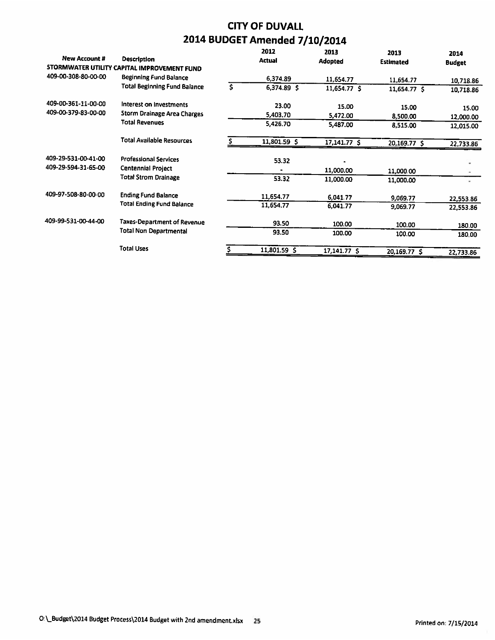| <b>New Account #</b> | <b>Description</b>                          |    | 2012<br><b>Actual</b> | 2013<br>Adopted | 2013<br><b>Estimated</b> | 2014<br><b>Budget</b> |
|----------------------|---------------------------------------------|----|-----------------------|-----------------|--------------------------|-----------------------|
|                      | STORMWATER UTILITY CAPITAL IMPROVEMENT FUND |    |                       |                 |                          |                       |
| 409-00-308-80-00-00  | <b>Beginning Fund Balance</b>               |    | 6,374.89              | 11,654.77       | 11,654.77                | 10,718.86             |
|                      | <b>Total Beginning Fund Balance</b>         | Ś. | 6,374.89 \$           | 11,654.77 \$    | 11,654.77 \$             | 10,718.86             |
| 409-00-361-11-00-00  | Interest on Investments                     |    | 23.00                 | 15.00           | 15.00                    | 15.00                 |
| 409-00-379-83-00-00  | Storm Drainage Area Charges                 |    | 5,403.70              | 5,472.00        | 8,500.00                 | 12,000.00             |
|                      | <b>Total Revenues</b>                       |    | 5,426.70              | 5,487.00        | 8,515.00                 | 12,015.00             |
|                      | <b>Total Available Resources</b>            |    | 11,801.59 \$          | 17,141.77 \$    | 20,169.77 \$             | 22,733.86             |
| 409-29-531-00-41-00  | <b>Professional Services</b>                |    | 53.32                 |                 |                          |                       |
| 409-29-594-31-65-00  | <b>Centennial Project</b>                   |    |                       | 11,000.00       | 11,000.00                |                       |
|                      | <b>Total Strom Drainage</b>                 |    | 53.32                 | 11,000.00       | 11,000.00                |                       |
| 409-97-508-80-00-00  | <b>Ending Fund Balance</b>                  |    | 11,654.77             | 6,041.77        | 9,069.77                 | 22,553.86             |
|                      | <b>Total Ending Fund Balance</b>            |    | 11,654.77             | 6,041.77        | 9,069.77                 | 22,553.86             |
| 409-99-531-00-44-00  | Taxes-Department of Revenue                 |    | 93.50                 | 100.00          | 100.00                   | 180.00                |
|                      | <b>Total Non Departmental</b>               |    | 93.50                 | 100.00          | 100.00                   | 180.00                |
|                      | <b>Total Uses</b>                           |    | 11,801.59 \$          | 17,141.77 S     | 20,169.77 \$             | 22,733.86             |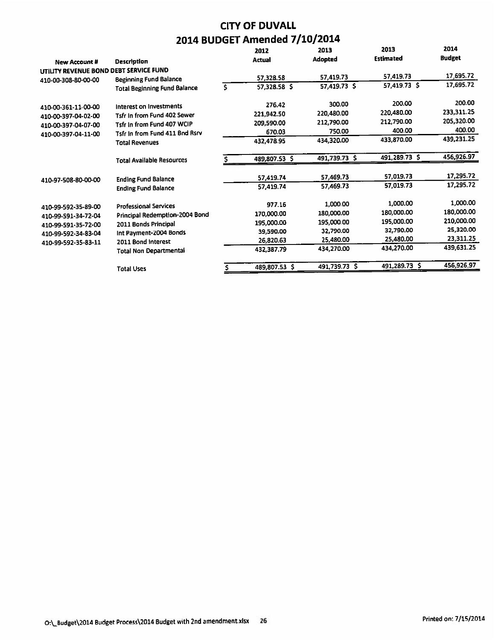|                                        |                                     |    | 2012          | 2013          | 2013             | 2014          |
|----------------------------------------|-------------------------------------|----|---------------|---------------|------------------|---------------|
| New Account #                          | <b>Description</b>                  |    | Actual        | Adopted       | <b>Estimated</b> | <b>Budget</b> |
| UTILITY REVENUE BOND DEBT SERVICE FUND |                                     |    |               |               |                  |               |
| 410-00-308-80-00-00                    | <b>Beginning Fund Balance</b>       |    | 57,328.58     | 57,419.73     | 57,419.73        | 17,695.72     |
|                                        | <b>Total Beginning Fund Balance</b> | Ś. | 57,328.58 \$  | 57,419.73 \$  | 57,419.73 \$     | 17,695.72     |
| 410-00-361-11-00-00                    | Interest on Investments             |    | 276.42        | 300.00        | 200.00           | 200.00        |
| 410-00-397-04-02-00                    | Tsfr In from Fund 402 Sewer         |    | 221,942.50    | 220,480.00    | 220,480.00       | 233,311.25    |
| 410-00-397-04-07-00                    | Tsfr In from Fund 407 WCIP          |    | 209,590.00    | 212,790.00    | 212,790.00       | 205,320.00    |
| 410-00-397-04-11-00                    | Tsfr In from Fund 411 Bnd Rsrv      |    | 670.03        | 750.00        | 400.00           | 400.00        |
|                                        | <b>Total Revenues</b>               |    | 432,478.95    | 434,320.00    | 433,870.00       | 439,231.25    |
|                                        | <b>Total Available Resources</b>    |    | 489,807.53 \$ | 491,739.73 \$ | 491,289.73 \$    | 456,926.97    |
|                                        | <b>Ending Fund Balance</b>          |    | 57,419.74     | 57,469.73     | 57.019.73        | 17,295.72     |
| 410-97-508-80-00-00                    | <b>Ending Fund Balance</b>          |    | 57,419.74     | 57,469.73     | 57,019.73        | 17,295.72     |
| 410-99-592-35-89-00                    | <b>Professional Services</b>        |    | 977 16        | 1,000.00      | 1.000.00         | 1,000.00      |
| 410-99-591-34-72-04                    | Principal Redemption-2004 Bond      |    | 170,000.00    | 180,000.00    | 180,000.00       | 180,000.00    |
| 410-99-591-35-72-00                    | 2011 Bonds Principal                |    | 195,000.00    | 195,000.00    | 195,000.00       | 210,000.00    |
| 410-99-592-34-83-04                    | Int Payment-2004 Bonds              |    | 39,590.00     | 32,790.00     | 32,790.00        | 25,320.00     |
| 410-99-592-35-83-11                    | 2011 Bond Interest                  |    | 26,820.63     | 25,480.00     | 25,480.00        | 23,311.25     |
|                                        | <b>Total Non Departmental</b>       |    | 432,387.79    | 434,270.00    | 434,270.00       | 439,631.25    |
|                                        | <b>Total Uses</b>                   |    | 489,807.53 \$ | 491,739.73 \$ | 491,289.73 \$    | 456,926.97    |
|                                        |                                     |    |               |               |                  |               |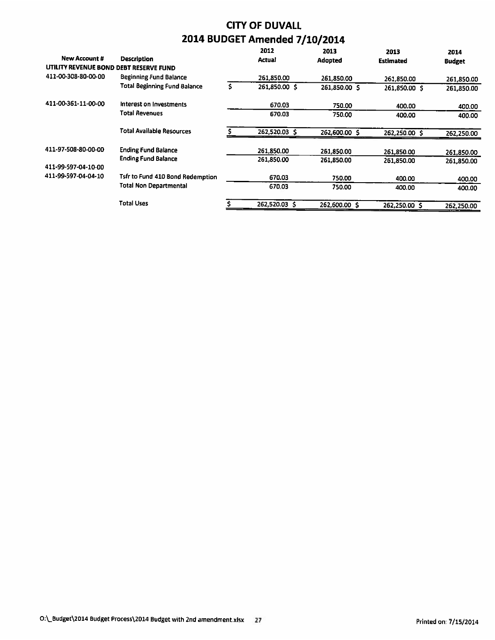| <b>New Account #</b>                   | <b>Description</b>                  |    | 2012<br><b>Actual</b> | 2013<br>Adopted | 2013<br><b>Estimated</b> | 2014<br><b>Budget</b> |
|----------------------------------------|-------------------------------------|----|-----------------------|-----------------|--------------------------|-----------------------|
| UTILITY REVENUE BOND DEBT RESERVE FUND |                                     |    |                       |                 |                          |                       |
| 411-00-308-80-00-00                    | <b>Beginning Fund Balance</b>       |    | 261,850.00            | 261,850.00      | 261,850.00               | 261,850.00            |
|                                        | <b>Total Beginning Fund Balance</b> | s. | 261.850.00 \$         | 261,850.00 \$   | 261.850.00 \$            | 261,850.00            |
| 411-00-361-11-00-00                    | Interest on Investments             |    | 670.03                | 750.00          | 400.00                   | 400.00                |
|                                        | Total Revenues                      |    | 670.03                | 750.00          | 400.00                   | 400.00                |
|                                        | <b>Total Available Resources</b>    |    | 262,520.03 \$         | 262,600.00 \$   | 262,250.00 \$            | 262,250.00            |
| 411-97-508-80-00-00                    | <b>Ending Fund Balance</b>          |    | 261,850.00            | 261,850.00      | 261.850.00               | 261,850.00            |
| 411-99-597-04-10-00                    | <b>Ending Fund Balance</b>          |    | 261,850.00            | 261,850.00      | 261,850.00               | 261,850.00            |
| 411-99-597-04-04-10                    | Tsfr to Fund 410 Bond Redemption    |    | 670.03                | 750.00          | 400.00                   | 400.00                |
|                                        | <b>Total Non Departmental</b>       |    | 670.03                | 750.00          | 400.00                   | 400.00                |
|                                        | Total Uses                          |    | 262.520.03 \$         | 262,600.00 \$   | 262.250.00 \$            | 262,250.00            |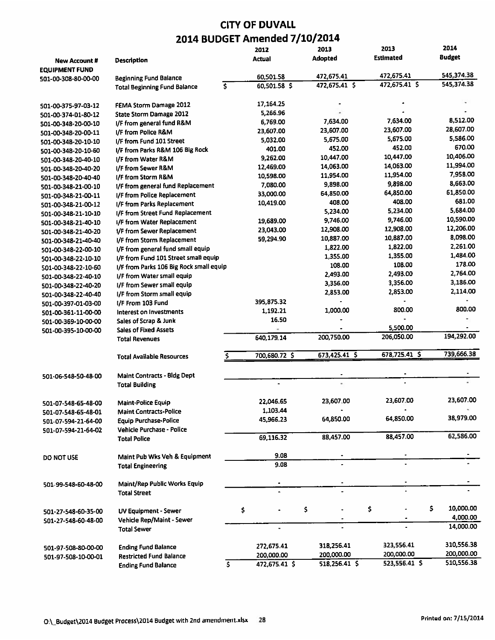|                       |                                                              |    | 2012           | 2013            | 2013             | 2014          |
|-----------------------|--------------------------------------------------------------|----|----------------|-----------------|------------------|---------------|
| <b>New Account #</b>  | Description                                                  |    | Actual         | Adopted         | <b>Estimated</b> | <b>Budget</b> |
| <b>EQUIPMENT FUND</b> |                                                              |    |                |                 |                  |               |
| 501-00-308-80-00-00   | <b>Beginning Fund Balance</b>                                |    | 60,501.58      | 472,675.41      | 472,675.41       | 545,374.38    |
|                       | <b>Total Beginning Fund Balance</b>                          | \$ | 60,501.58 \$   | $472,675.41$ \$ | $472,675.41$ \$  | 545,374.38    |
|                       |                                                              |    | 17,164.25      |                 |                  |               |
| 501-00-375-97-03-12   | FEMA Storm Damage 2012                                       |    | 5,266.96       |                 |                  |               |
| 501-00-374-01-80-12   | <b>State Storm Damage 2012</b>                               |    | 6,769.00       | 7,634.00        | 7,634.00         | 8,512.00      |
| 501-00-348-20-00-10   | I/F from general fund R&M                                    |    | 23,607.00      | 23,607.00       | 23.607.00        | 28,607.00     |
| 501-00-348-20-00-11   | I/F from Police R&M                                          |    | 5,032.00       | 5,675.00        | 5,675.00         | 5,586.00      |
| 501-00-348-20-10-10   | I/F from Fund 101 Street                                     |    | 401.00         | 452.00          | 452.00           | 670.00        |
| 501-00-348-20-10-60   | I/F from Parks R&M 106 Big Rock                              |    | 9,262.00       | 10,447.00       | 10,447.00        | 10,406.00     |
| 501-00-348-20-40-10   | I/F from Water R&M                                           |    |                | 14,063.00       | 14,063.00        | 11,994.00     |
| 501-00-348-20-40-20   | I/F from Sewer R&M                                           |    | 12,469.00      | 11,954.00       | 11,954.00        | 7,958.00      |
| 501-00-348-20-40-40   | I/F from Storm R&M                                           |    | 10,598.00      | 9,898.00        | 9,898.00         | 8,663.00      |
| 501-00-348-21-00-10   | 1/F from general fund Replacement                            |    | 7,080.00       |                 | 64,850.00        | 61,850.00     |
| 501-00-348-21-00-11   | I/F from Police Replacement                                  |    | 33,000.00      | 64,850.00       | 408.00           | 681.00        |
| 501-00-348-21-00-12   | I/F from Parks Replacement                                   |    | 10,419.00      | 408.00          | 5,234.00         | 5,684.00      |
| 501-00-348-21-10-10   | I/F from Street Fund Replacement                             |    |                | 5,234.00        |                  | 10,590.00     |
| 501-00-348-21-40-10   | I/F from Water Replacement                                   |    | 19,689.00      | 9,746.00        | 9,746.00         | 12,206.00     |
| 501-00-348-21-40-20   | 1/F from Sewer Replacement                                   |    | 23,043.00      | 12,908.00       | 12,908.00        |               |
| 501-00-348-21-40-40   | I/F from Storm Replacement                                   |    | 59,294.90      | 10,887.00       | 10,887.00        | 8,098.00      |
| 501-00-348-22-00-10   | I/F from general fund small equip                            |    |                | 1,822.00        | 1,822.00         | 2,261.00      |
| 501-00-348-22-10-10   | I/F from Fund 101 Street small equip                         |    |                | 1,355.00        | 1,355.00         | 1,484.00      |
| 501-00-348-22-10-60   | I/F from Parks 106 Big Rock small equip                      |    |                | 108.00          | 108.00           | 178.00        |
| 501-00-348-22-40-10   | I/F from Water small equip                                   |    |                | 2,493.00        | 2.493.00         | 2,764.00      |
| 501-00-348-22-40-20   | I/F from Sewer small equip                                   |    |                | 3,356.00        | 3,356.00         | 3,186.00      |
| 501-00-348-22-40-40   | I/F from Storm small equip                                   |    |                | 2,853.00        | 2,853.00         | 2,114.00      |
| 501-00-397-01-03-00   | I/F From 103 Fund                                            |    | 395,875.32     |                 |                  |               |
| 501-00-361-11-00-00   | Interest on Investments                                      |    | 1,192.21       | 1,000.00        | 800.00           | 800.00        |
| 501-00-369-10-00-00   | Sales of Scrap & Junk                                        |    | 16.50          |                 |                  |               |
| 501-00-395-10-00-00   | <b>Sales of Fixed Assets</b>                                 |    |                |                 | 5,500.00         |               |
|                       | <b>Total Revenues</b>                                        |    | 640,179.14     | 200,750.00      | 206,050.00       | 194,292.00    |
|                       | <b>Total Available Resources</b>                             | s  | 700,680.72 \$  | 673,425.41 \$   | 678,725.41 \$    | 739,666.38    |
|                       | Maint Contracts - Bldg Dept                                  |    |                |                 |                  |               |
| 501-06-548-50-48-00   | <b>Total Building</b>                                        |    |                |                 |                  |               |
|                       |                                                              |    |                |                 |                  |               |
| 501-07-548-65-48-00   | Maint-Police Equip                                           |    | 22.046.65      | 23,607.00       | 23,607.00        | 23,607.00     |
| 501-07-548-65-48-01   | <b>Maint Contracts-Police</b>                                |    | 1,103.44       |                 |                  |               |
| 501-07-594-21-64-00   | <b>Equip Purchase-Police</b>                                 |    | 45,966.23      | 64,850.00       | 64,850.00        | 38,979.00     |
| 501-07-594-21-64-02   | Vehicle Purchase - Police                                    |    |                |                 |                  |               |
|                       | <b>Total Police</b>                                          |    | 69,116.32      | 88,457.00       | 88,457.00        | 62,586.00     |
| DO NOT USE            | Maint Pub Wks Veh & Equipment                                |    | 9.08           |                 |                  |               |
|                       | <b>Total Engineering</b>                                     |    | 9.08           |                 |                  |               |
|                       |                                                              |    |                |                 |                  |               |
| 501-99-548-60-48-00   | Maint/Rep Public Works Equip<br><b>Total Street</b>          |    |                |                 |                  |               |
|                       |                                                              |    |                | \$              | \$<br>\$         | 10,000.00     |
| 501-27-548-60-35-00   | UV Equipment - Sewer                                         |    | \$             |                 |                  | 4,000.00      |
| 501-27-548-60-48-00   | Vehicle Rep/Maint - Sewer                                    |    | $\blacksquare$ |                 |                  | 14,000.00     |
|                       | <b>Total Sewer</b>                                           |    |                |                 |                  |               |
|                       |                                                              |    | 272,675.41     | 318,256.41      | 323,556.41       | 310,556.38    |
| 501-97-508-80-00-00   | <b>Ending Fund Balance</b><br><b>Restricted Fund Balance</b> |    | 200,000.00     | 200,000.00      | 200,000.00       | 200,000.00    |
| 501-97-508-10-00-01   |                                                              | \$ | 472,675.41 \$  | 518,256.41 \$   | 523,556.41 \$    | 510,556.38    |
|                       | <b>Ending Fund Balance</b>                                   |    |                |                 |                  |               |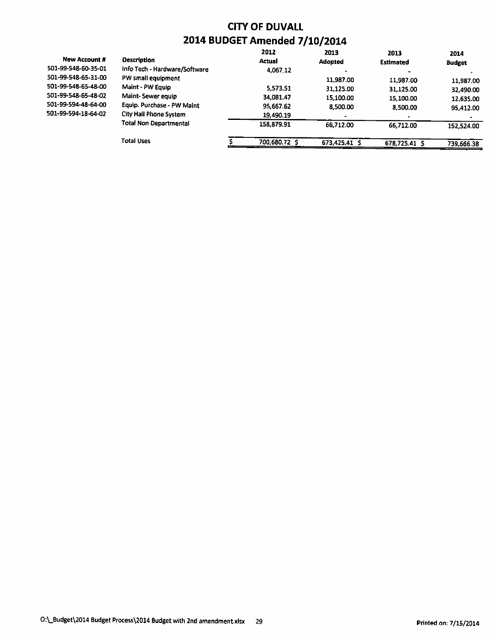|                      |                               | 2012          | 2013          | 2013             | 2014          |
|----------------------|-------------------------------|---------------|---------------|------------------|---------------|
| <b>New Account #</b> | <b>Description</b>            | Actual        | Adopted       | <b>Estimated</b> | <b>Budget</b> |
| 501-99-548-60-35-01  | Info Tech - Hardware/Software | 4,067.12      |               |                  |               |
| 501-99-548-65-31-00  | PW small equipment            |               | 11,987.00     | 11,987.00        | 11,987.00     |
| 501-99-548-65-48-00  | Maint - PW Equip              | 5,573.51      | 31,125.00     | 31,125.00        | 32,490.00     |
| 501-99-548-65-48-02  | Maint-Sewer equip             | 34,081.47     | 15,100.00     | 15,100.00        | 12,635.00     |
| 501-99-594-48-64-00  | Equip. Purchase - PW Maint    | 95,667.62     | 8,500.00      | 8,500.00         | 95,412.00     |
| 501-99-594-18-64-02  | <b>City Hall Phone System</b> | 19,490.19     |               |                  |               |
|                      | <b>Total Non Departmental</b> | 158,879.91    | 66.712.00     | 66,712.00        | 152,524.00    |
|                      | <b>Total Uses</b>             | 700,680.72 \$ | 673,425.41 \$ | 678,725.41 \$    | 739,666.38    |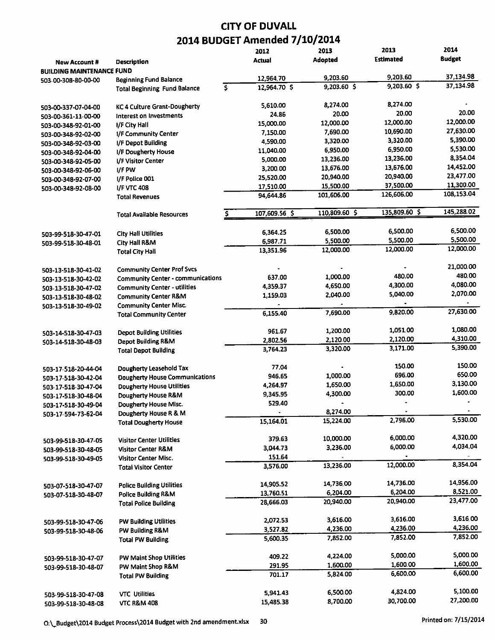|                                  |                                          | 2012               | 2013           | 2013             | 2014               |
|----------------------------------|------------------------------------------|--------------------|----------------|------------------|--------------------|
| <b>New Account #</b>             | Description                              | Actual             | <b>Adopted</b> | <b>Estimated</b> | <b>Budget</b>      |
| <b>BUILDING MAINTENANCE FUND</b> |                                          |                    |                |                  |                    |
| 503-00-308-80-00-00              | <b>Beginning Fund Balance</b>            | 12,964.70          | 9,203.60       | 9,203.60         | 37,134.98          |
|                                  | <b>Total Beginning Fund Balance</b>      | \$<br>12,964.70 \$ | $9,203.60$ \$  | 9,203.60 \$      | 37,134.98          |
| 503-00-337-07-04-00              | <b>KC 4 Culture Grant-Dougherty</b>      | 5,610.00           | 8,274.00       | 8,274.00         |                    |
| 503-00-361-11-00-00              | Interest on Investments                  | 24.86              | 20.00          | 20.00            | 20.00              |
| 503-00-348-92-01-00              | I/F City Hall                            | 15,000.00          | 12,000.00      | 12,000.00        | 12,000.00          |
| 503-00-348-92-02-00              | 1/F Community Center                     | 7,150.00           | 7,690.00       | 10,690.00        | 27,630.00          |
| 503-00-348-92-03-00              | I/F Depot Building                       | 4,590.00           | 3,320.00       | 3,320.00         | 5,390.00           |
| 503-00-348-92-04-00              | I/F Dougherty House                      | 11,040.00          | 6,950.00       | 6,950.00         | 5,530.00           |
| 503-00-348-92-05-00              | I/F Visitor Center                       | 5,000.00           | 13,236.00      | 13,236.00        | 8,354.04           |
| 503-00-348-92-06-00              | I/F PW                                   | 3,200.00           | 13,676.00      | 13,676.00        | 14,452.00          |
| 503-00-348-92-07-00              | I/F Police 001                           | 25,520.00          | 20,940.00      | 20,940.00        | 23,477.00          |
| 503-00-348-92-08-00              | <b>I/F VTC 408</b>                       | 17,510.00          | 15,500.00      | 37,500.00        | 11,300.00          |
|                                  | <b>Total Revenues</b>                    | 94,644.86          | 101,606.00     | 126,606.00       | 108,153.04         |
|                                  | <b>Total Available Resources</b>         | 107,609.56 \$      | 110,809.60 \$  | 135,809.60 \$    | 145,288.02         |
| 503-99-518-30-47-01              | <b>City Hall Utilities</b>               | 6,364.25           | 6,500.00       | 6,500.00         | 6,500.00           |
| 503-99-518-30-48-01              | City Hall R&M                            | 6,987.71           | 5,500.00       | 5,500.00         | 5,500.00           |
|                                  | <b>Total City Hall</b>                   | 13,351.96          | 12,000.00      | 12,000.00        | 12,000.00          |
| 503-13-518-30-41-02              | <b>Community Center Prof Svcs</b>        |                    |                |                  | 21,000.00          |
| 503-13-518-30-42-02              | <b>Community Center - communications</b> | 637.00             | 1,000.00       | 480.00           | 480.00             |
| 503-13-518-30-47-02              | <b>Community Center - utilities</b>      | 4,359.37           | 4,650.00       | 4,300.00         | 4,080.00           |
| 503-13-518-30-48-02              | <b>Community Center R&amp;M</b>          | 1,159.03           | 2,040.00       | 5,040.00         | 2,070.00           |
| 503-13-518-30-49-02              | <b>Community Center Misc.</b>            |                    |                |                  |                    |
|                                  | <b>Total Community Center</b>            | 6,155.40           | 7,690.00       | 9,820.00         | 27,630.00          |
| 503-14-518-30-47-03              | <b>Depot Building Utilities</b>          | 961.67             | 1,200.00       | 1,051,00         | 1,080.00           |
| 503-14-518-30-48-03              | <b>Depot Building R&amp;M</b>            | 2,802.56           | 2,120.00       | 2,120.00         | 4,310.00           |
|                                  | <b>Total Depot Building</b>              | 3,764.23           | 3,320.00       | 3,171.00         | 5,390.00           |
| 503-17-518-20-44-04              | Dougherty Leasehold Tax                  | 77.04              |                | 150.00           | 150.00             |
| 503-17-518-30-42-04              | <b>Dougherty House Communications</b>    | 946.65             | 1,000.00       | 696.00           | 650.00<br>3,130.00 |
| 503-17-518-30-47-04              | <b>Dougherty House Utilities</b>         | 4,264.97           | 1,650.00       | 1,650.00         |                    |
| 503-17-518-30-48-04              | Dougherty House R&M                      | 9,345.95           | 4,300.00       | 300.00           | 1,600.00           |
| 503-17-518-30-49-04              | <b>Dougherty House Misc.</b>             | 529.40             |                |                  |                    |
| 503-17-594-73-62-04              | Dougherty House R & M                    |                    | 8,274.00       | 2,796.00         | 5,530.00           |
|                                  | <b>Total Dougherty House</b>             | 15,164.01          | 15,224.00      |                  |                    |
| 503-99-518-30-47-05              | <b>Visitor Center Utilities</b>          | 379.63             | 10,000.00      | 6,000.00         | 4,320.00           |
| 503-99-518-30-48-05              | <b>Visitor Center R&amp;M</b>            | 3,044.73           | 3,236.00       | 6,000.00         | 4,034.04           |
| 503-99-518-30-49-05              | <b>Visitor Center Misc.</b>              | 151.64             |                |                  |                    |
|                                  | <b>Total Visitor Center</b>              | 3,576.00           | 13,236.00      | 12,000.00        | 8,354.04           |
| 503-07-518-30-47-07              | <b>Police Building Utilities</b>         | 14,905.52          | 14,736.00      | 14,736.00        | 14,956.00          |
| 503-07-518-30-48-07              | <b>Police Building R&amp;M</b>           | 13,760.51          | 6,204.00       | 6,204.00         | 8,521.00           |
|                                  | <b>Total Police Building</b>             | 28,666.03          | 20,940.00      | 20,940.00        | 23,477.00          |
| 503-99-518-30-47-06              | <b>PW Building Utilities</b>             | 2,072.53           | 3,616.00       | 3,616.00         | 3,616.00           |
| 503-99-518-30-48-06              | PW Building R&M                          | 3,527.82           | 4,236.00       | 4,236.00         | 4,236.00           |
|                                  | <b>Total PW Building</b>                 | 5,600.35           | 7,852.00       | 7,852.00         | 7,852.00           |
| 503-99-518-30-47-07              | PW Maint Shop Utilities                  | 409.22             | 4,224.00       | 5,000.00         | 5,000.00           |
| 503-99-518-30-48-07              | PW Maint Shop R&M                        | 291.95             | 1,600.00       | 1,600.00         | 1,600.00           |
|                                  | <b>Total PW Building</b>                 | 701.17             | 5,824.00       | 6,600.00         | 6,600.00           |
| 503-99-518-30-47-08              | <b>VTC Utilities</b>                     | 5,941.43           | 6,500,00       | 4,824.00         | 5,100.00           |
| 503-99-518-30-48-08              | <b>VTC R&amp;M 408</b>                   | 15,485.38          | 8,700.00       | 30,700.00        | 27,200.00          |